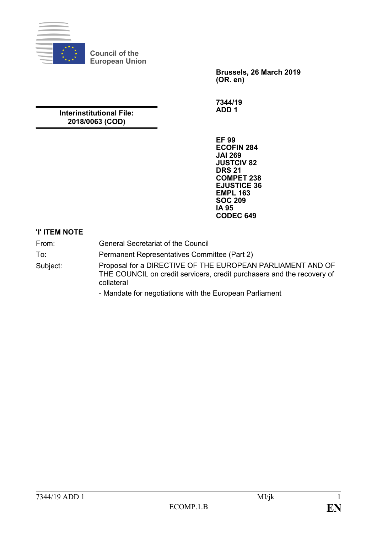

**Council of the European Union**

> **Brussels, 26 March 2019 (OR. en)**

**7344/19 ADD 1**

## **Interinstitutional File: 2018/0063 (COD)**

**EF 99 ECOFIN 284 JAI 269 JUSTCIV 82 DRS 21 COMPET 238 EJUSTICE 36 EMPL 163 SOC 209 IA 95 CODEC 649**

## **'I' ITEM NOTE**

| From:<br>To∶                                            | <b>General Secretariat of the Council</b><br>Permanent Representatives Committee (Part 2) |
|---------------------------------------------------------|-------------------------------------------------------------------------------------------|
|                                                         |                                                                                           |
| - Mandate for negotiations with the European Parliament |                                                                                           |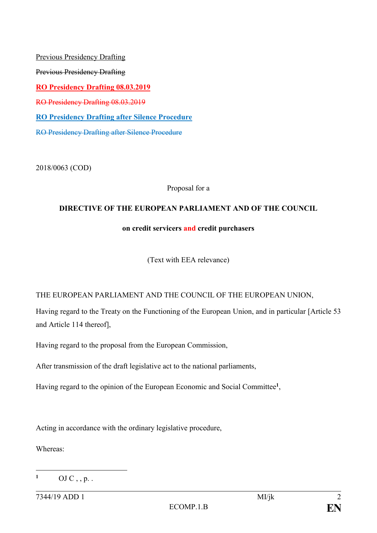Previous Presidency Drafting Previous Presidency Drafting **RO Presidency Drafting 08.03.2019** RO Presidency Drafting 08.03.2019 **RO Presidency Drafting after Silence Procedure** RO Presidency Drafting after Silence Procedure

2018/0063 (COD)

Proposal for a

## **DIRECTIVE OF THE EUROPEAN PARLIAMENT AND OF THE COUNCIL**

## **on credit servicers and credit purchasers**

(Text with EEA relevance)

## THE EUROPEAN PARLIAMENT AND THE COUNCIL OF THE EUROPEAN UNION,

Having regard to the Treaty on the Functioning of the European Union, and in particular [Article 53 and Article 114 thereof],

Having regard to the proposal from the European Commission,

After transmission of the draft legislative act to the national parliaments,

Having regard to the opinion of the European Economic and Social Committee**<sup>1</sup>** ,

Acting in accordance with the ordinary legislative procedure,

Whereas:

1

**<sup>1</sup>** OJ C, , p. .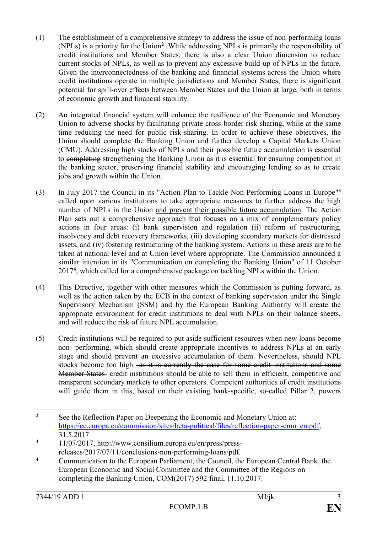- (1) The establishment of a comprehensive strategy to address the issue of non-performing loans (NPLs) is a priority for the Union**<sup>2</sup>** . While addressing NPLs is primarily the responsibility of credit institutions and Member States, there is also a clear Union dimension to reduce current stocks of NPLs, as well as to prevent any excessive build-up of NPLs in the future. Given the interconnectedness of the banking and financial systems across the Union where credit institutions operate in multiple jurisdictions and Member States, there is significant potential for spill-over effects between Member States and the Union at large, both in terms of economic growth and financial stability.
- (2) An integrated financial system will enhance the resilience of the Economic and Monetary Union to adverse shocks by facilitating private cross-border risk-sharing, while at the same time reducing the need for public risk-sharing. In order to achieve these objectives, the Union should complete the Banking Union and further develop a Capital Markets Union (CMU). Addressing high stocks of NPLs and their possible future accumulation is essential to completing strengthening the Banking Union as it is essential for ensuring competition in the banking sector, preserving financial stability and encouraging lending so as to create jobs and growth within the Union.
- (3) In July 2017 the Council in its "Action Plan to Tackle Non-Performing Loans in Europe"**<sup>3</sup>** called upon various institutions to take appropriate measures to further address the high number of NPLs in the Union and prevent their possible future accumulation. The Action Plan sets out a comprehensive approach that focuses on a mix of complementary policy actions in four areas: (i) bank supervision and regulation (ii) reform of restructuring, insolvency and debt recovery frameworks, (iii) developing secondary markets for distressed assets, and (iv) fostering restructuring of the banking system. Actions in these areas are to be taken at national level and at Union level where appropriate. The Commission announced a similar intention in its "Communication on completing the Banking Union" of 11 October 2017**<sup>4</sup>** , which called for a comprehensive package on tackling NPLs within the Union.
- (4) This Directive, together with other measures which the Commission is putting forward, as well as the action taken by the ECB in the context of banking supervision under the Single Supervisory Mechanism (SSM) and by the European Banking Authority will create the appropriate environment for credit institutions to deal with NPLs on their balance sheets, and will reduce the risk of future NPL accumulation.
- (5) Credit institutions will be required to put aside sufficient resources when new loans become non- performing, which should create appropriate incentives to address NPLs at an early stage and should prevent an excessive accumulation of them. Nevertheless, should NPL stocks become too high as it is currently the case for some credit institutions and some Member States credit institutions should be able to sell them in efficient, competitive and transparent secondary markets to other operators. Competent authorities of credit institutions will guide them in this, based on their existing bank-specific, so-called Pillar 2, powers

 $\overline{2}$ **<sup>2</sup>** See the Reflection Paper on Deepening the Economic and Monetary Union at: [https://ec.europa.eu/commission/sites/beta-political/files/reflection-paper-emu\\_en.pdf,](https://ec.europa.eu/commission/sites/beta-political/files/reflection-paper-emu_en.pdf) 31.5.2017

**<sup>3</sup>** 11/07/2017, http://www.consilium.europa.eu/en/press/pressreleases/2017/07/11/conclusions-non-performing-loans/pdf.

**<sup>4</sup>** Communication to the European Parliament, the Council, the European Central Bank, the European Economic and Social Committee and the Committee of the Regions on completing the Banking Union, COM(2017) 592 final, 11.10.2017.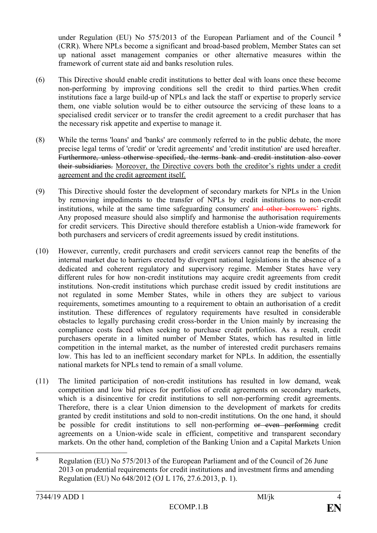under Regulation (EU) No 575/2013 of the European Parliament and of the Council **<sup>5</sup>** (CRR). Where NPLs become a significant and broad-based problem, Member States can set up national asset management companies or other alternative measures within the framework of current state aid and banks resolution rules.

- (6) This Directive should enable credit institutions to better deal with loans once these become non-performing by improving conditions sell the credit to third parties.When credit institutions face a large build-up of NPLs and lack the staff or expertise to properly service them, one viable solution would be to either outsource the servicing of these loans to a specialised credit servicer or to transfer the credit agreement to a credit purchaser that has the necessary risk appetite and expertise to manage it.
- (8) While the terms 'loans' and 'banks' are commonly referred to in the public debate, the more precise legal terms of 'credit' or 'credit agreements' and 'credit institution' are used hereafter. Furthermore, unless otherwise specified, the terms bank and credit institution also cover their subsidiaries. Moreover, the Directive covers both the creditor's rights under a credit agreement and the credit agreement itself.
- (9) This Directive should foster the development of secondary markets for NPLs in the Union by removing impediments to the transfer of NPLs by credit institutions to non-credit institutions, while at the same time safeguarding consumers' and other borrowers' rights. Any proposed measure should also simplify and harmonise the authorisation requirements for credit servicers. This Directive should therefore establish a Union-wide framework for both purchasers and servicers of credit agreements issued by credit institutions.
- (10) However, currently, credit purchasers and credit servicers cannot reap the benefits of the internal market due to barriers erected by divergent national legislations in the absence of a dedicated and coherent regulatory and supervisory regime. Member States have very different rules for how non-credit institutions may acquire credit agreements from credit institutions*.* Non-credit institutions which purchase credit issued by credit institutions are not regulated in some Member States, while in others they are subject to various requirements, sometimes amounting to a requirement to obtain an authorisation of a credit institution. These differences of regulatory requirements have resulted in considerable obstacles to legally purchasing credit cross-border in the Union mainly by increasing the compliance costs faced when seeking to purchase credit portfolios. As a result, credit purchasers operate in a limited number of Member States, which has resulted in little competition in the internal market, as the number of interested credit purchasers remains low. This has led to an inefficient secondary market for NPLs. In addition, the essentially national markets for NPLs tend to remain of a small volume.
- (11) The limited participation of non-credit institutions has resulted in low demand, weak competition and low bid prices for portfolios of credit agreements on secondary markets, which is a disincentive for credit institutions to sell non-performing credit agreements. Therefore, there is a clear Union dimension to the development of markets for credits granted by credit institutions and sold to non-credit institutions. On the one hand, it should be possible for credit institutions to sell non-performing or even performing credit agreements on a Union-wide scale in efficient, competitive and transparent secondary markets. On the other hand, completion of the Banking Union and a Capital Markets Union

<sup>&</sup>lt;u>.</u> **<sup>5</sup>** Regulation (EU) No 575/2013 of the European Parliament and of the Council of 26 June 2013 on prudential requirements for credit institutions and investment firms and amending Regulation (EU) No 648/2012 (OJ L 176, 27.6.2013, p. 1).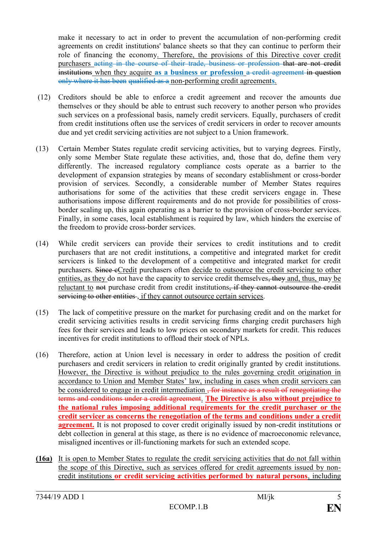make it necessary to act in order to prevent the accumulation of non-performing credit agreements on credit institutions' balance sheets so that they can continue to perform their role of financing the economy. Therefore, the provisions of this Directive cover credit purchasers acting in the course of their trade, business or profession that are not credit institutions when they acquire **as a business or profession** a credit agreement in question only where it has been qualified as a non-performing credit agreement**s**.

- (12) Creditors should be able to enforce a credit agreement and recover the amounts due themselves or they should be able to entrust such recovery to another person who provides such services on a professional basis, namely credit servicers. Equally, purchasers of credit from credit institutions often use the services of credit servicers in order to recover amounts due and yet credit servicing activities are not subject to a Union framework.
- (13) Certain Member States regulate credit servicing activities, but to varying degrees. Firstly, only some Member State regulate these activities, and, those that do, define them very differently. The increased regulatory compliance costs operate as a barrier to the development of expansion strategies by means of secondary establishment or cross-border provision of services. Secondly, a considerable number of Member States requires authorisations for some of the activities that these credit servicers engage in. These authorisations impose different requirements and do not provide for possibilities of crossborder scaling up, this again operating as a barrier to the provision of cross-border services. Finally, in some cases, local establishment is required by law, which hinders the exercise of the freedom to provide cross-border services.
- (14) While credit servicers can provide their services to credit institutions and to credit purchasers that are not credit institutions, a competitive and integrated market for credit servicers is linked to the development of a competitive and integrated market for credit purchasers. Since eCredit purchasers often decide to outsource the credit servicing to other entities, as they do not have the capacity to service credit themselves, they and, thus, may be reluctant to not purchase credit from credit institutions, if they cannot outsource the credit servicing to other entities, if they cannot outsource certain services.
- (15) The lack of competitive pressure on the market for purchasing credit and on the market for credit servicing activities results in credit servicing firms charging credit purchasers high fees for their services and leads to low prices on secondary markets for credit. This reduces incentives for credit institutions to offload their stock of NPLs.
- (16) Therefore, action at Union level is necessary in order to address the position of credit purchasers and credit servicers in relation to credit originally granted by credit institutions. However, the Directive is without prejudice to the rules governing credit origination in accordance to Union and Member States' law, including in cases when credit servicers can be considered to engage in credit intermediation <del>, for instance as a result of renegotiating the</del> terms and conditions under a credit agreement. **The Directive is also without prejudice to the national rules imposing additional requirements for the credit purchaser or the credit servicer as concerns the renegotiation of the terms and conditions under a credit agreement.** It is not proposed to cover credit originally issued by non-credit institutions or debt collection in general at this stage, as there is no evidence of macroeconomic relevance, misaligned incentives or ill-functioning markets for such an extended scope.
- **(16a)** It is open to Member States to regulate the credit servicing activities that do not fall within the scope of this Directive, such as services offered for credit agreements issued by noncredit institutions **or credit servicing activities performed by natural persons**, including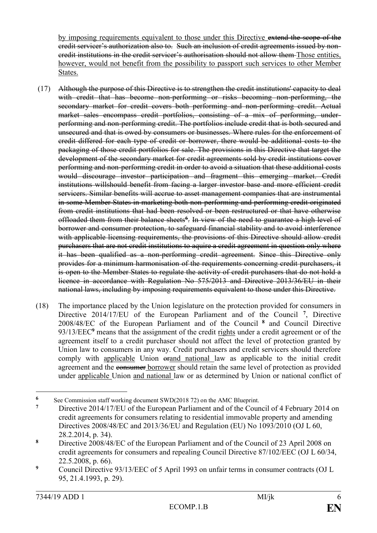by imposing requirements equivalent to those under this Directive extend the scope of the credit servicer's authorization also to. Such an inclusion of credit agreements issued by noncredit institutions in the credit servicer's authorisation should not allow them Those entities, however, would not benefit from the possibility to passport such services to other Member States.

- (17) Although the purpose of this Directive is to strengthen the credit institutions' capacity to deal with credit that has become non-performing or risks becoming non-performing, the secondary market for credit covers both performing and non-performing credit. Actual market sales encompass credit portfolios, consisting of a mix of performing, underperforming and non-performing credit. The portfolios include credit that is both secured and unsecured and that is owed by consumers or businesses. Where rules for the enforcement of credit differed for each type of credit or borrower, there would be additional costs to the packaging of those credit portfolios for sale. The provisions in this Directive that target the development of the secondary market for credit agreements sold by credit institutions cover performing and non-performing credit in order to avoid a situation that these additional costs would discourage investor participation and fragment this emerging market. Credit institutions willshould benefit from facing a larger investor base and more efficient credit servicers. Similar benefits will accrue to asset management companies that are instrumental in some Member States in marketing both non-performing and performing credit originated from credit institutions that had been resolved or been restructured or that have otherwise offloaded them from their balance sheets**<sup>6</sup>** . In view of the need to guarantee a high level of borrower and consumer protection, to safeguard financial stability and to avoid interference with applicable licensing requirements, the provisions of this Directive should allow credit purchasers that are not credit institutions to aquire a credit agreement in question only where it has been qualified as a non-performing credit agreement. Since this Directive only provides for a minimum harmonisation of the requirements concerning credit purchasers, it is open to the Member States to regulate the activity of credit purchasers that do not hold a licence in accordance with Regulation No 575/2013 and Directive 2013/36/EU in their national laws, including by imposing requirements equivalent to those under this Directive.
- (18) The importance placed by the Union legislature on the protection provided for consumers in Directive 2014/17/EU of the European Parliament and of the Council **<sup>7</sup>** , Directive 2008/48/EC of the European Parliament and of the Council **<sup>8</sup>** and Council Directive 93/13/EEC**<sup>9</sup>** means that the assignment of the credit rights under a credit agreement or of the agreement itself to a credit purchaser should not affect the level of protection granted by Union law to consumers in any way. Credit purchasers and credit servicers should therefore comply with applicable Union orand national law as applicable to the initial credit agreement and the consumer borrower should retain the same level of protection as provided under applicable Union and national law or as determined by Union or national conflict of

1

**<sup>6</sup>** See Commission staff working document SWD(2018 72) on the AMC Blueprint.<br> **6** Directive 2014/17/EU of the European Perliament and of the Coun

**<sup>7</sup>** Directive 2014/17/EU of the European Parliament and of the Council of 4 February 2014 on credit agreements for consumers relating to residential immovable property and amending Directives 2008/48/EC and 2013/36/EU and Regulation (EU) No 1093/2010 (OJ L 60, 28.2.2014, p. 34).

**<sup>8</sup>** Directive 2008/48/EC of the European Parliament and of the Council of 23 April 2008 on credit agreements for consumers and repealing Council Directive 87/102/EEC (OJ L 60/34, 22.5.2008, p. 66).

<sup>&</sup>lt;sup>9</sup> Council Directive 93/13/EEC of 5 April 1993 on unfair terms in consumer contracts (OJ L 95, 21.4.1993, p. 29).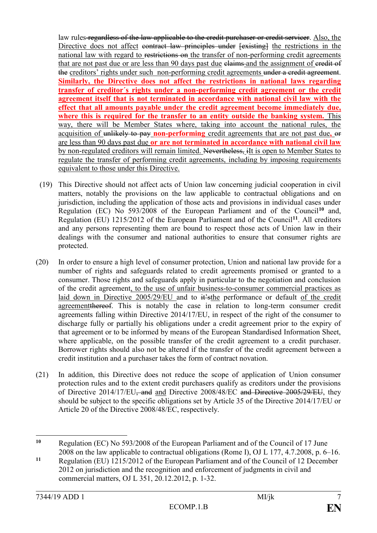law rules regardless of the law applicable to the credit purchaser or credit servicer. Also, the Directive does not affect contract law principles under  $f$  existing the restrictions in the national law with regard to restrictions on the transfer of non-performing credit agreements that are not past due or are less than 90 days past due elaims and the assignment of eredit of the creditors' rights under such non-performing credit agreements under a credit agreement. **Similarly, the Directive does not affect the restrictions in national laws regarding transfer of creditor´s rights under a non-performing credit agreement or the credit agreement itself that is not terminated in accordance with national civil law with the effect that all amounts payable under the credit agreement become immediately due, where this is required for the transfer to an entity outside the banking system.** This way, there will be Member States where, taking into account the national rules, the acquisition of unlikely to pay **non-performing** credit agreements that are not past due**,** or are less than 90 days past due **or are not terminated in accordance with national civil law**  by non-regulated creditors will remain limited. Nevertheless, iIt is open to Member States to regulate the transfer of performing credit agreements, including by imposing requirements equivalent to those under this Directive.

- (19) This Directive should not affect acts of Union law concerning judicial cooperation in civil matters, notably the provisions on the law applicable to contractual obligations and on jurisdiction, including the application of those acts and provisions in individual cases under Regulation (EC) No 593/2008 of the European Parliament and of the Council**<sup>10</sup>** and, Regulation (EU) 1215/2012 of the European Parliament and of the Council**<sup>11</sup>**. All creditors and any persons representing them are bound to respect those acts of Union law in their dealings with the consumer and national authorities to ensure that consumer rights are protected.
- (20) In order to ensure a high level of consumer protection, Union and national law provide for a number of rights and safeguards related to credit agreements promised or granted to a consumer. Those rights and safeguards apply in particular to the negotiation and conclusion of the credit agreement, to the use of unfair business-to-consumer commercial practices as laid down in Directive 2005/29/EU and to it's the performance or default of the credit agreementthereof. This is notably the case in relation to long-term consumer credit agreements falling within Directive 2014/17/EU, in respect of the right of the consumer to discharge fully or partially his obligations under a credit agreement prior to the expiry of that agreement or to be informed by means of the European Standardised Information Sheet, where applicable, on the possible transfer of the credit agreement to a credit purchaser. Borrower rights should also not be altered if the transfer of the credit agreement between a credit institution and a purchaser takes the form of contract novation.
- (21) In addition, this Directive does not reduce the scope of application of Union consumer protection rules and to the extent credit purchasers qualify as creditors under the provisions of Directive 2014/17/EU, and and Directive 2008/48/EC and Directive 2005/29/EU, they should be subject to the specific obligations set by Article 35 of the Directive 2014/17/EU or Article 20 of the Directive 2008/48/EC, respectively.

1

**<sup>10</sup>** Regulation (EC) No 593/2008 of the European Parliament and of the Council of 17 June 2008 on the law applicable to contractual obligations (Rome I), OJ L 177, 4.7.2008, p. 6–16.

**<sup>11</sup>** Regulation (EU) 1215/2012 of the European Parliament and of the Council of 12 December 2012 on jurisdiction and the recognition and enforcement of judgments in civil and commercial matters, OJ L 351, 20.12.2012, p. 1-32.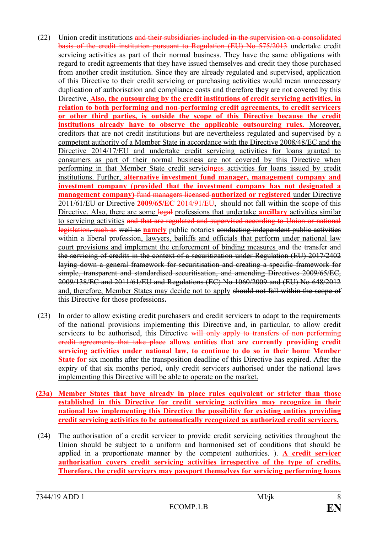- (22) Union credit institutions and their subsidiaries included in the supervision on a consolidated basis of the credit institution pursuant to Regulation (EU) No 575/2013 undertake credit servicing activities as part of their normal business. They have the same obligations with regard to credit agreements that they have issued themselves and credit they those purchased from another credit institution. Since they are already regulated and supervised, application of this Directive to their credit servicing or purchasing activities would mean unnecessary duplication of authorisation and compliance costs and therefore they are not covered by this Directive. **Also, the outsourcing by the credit institutions of credit servicing activities, in relation to both performing and non-performing credit agreements, to credit servicers or other third parties, is outside the scope of this Directive because the credit institutions already have to observe the applicable outsourcing rules.** Moreover, creditors that are not credit institutions but are nevertheless regulated and supervised by a competent authority of a Member State in accordance with the Directive 2008/48/EC and the Directive 2014/17/EU and undertake credit servicing activities for loans granted to consumers as part of their normal business are not covered by this Directive when performing in that Member State credit servic**ing**es activities for loans issued by credit institutions. Further, **alternative investment fund manager, management company and investment company** (**provided that the investment company has not designated a management company**) fund managers licensed **authorized or registered** under Directive 2011/61/EU or Directive **2009/65/EC** 2014/91/EU, should not fall within the scope of this Directive. Also, there are some legal professions that undertake **ancillary** activities similar to servicing activities and that are regulated and supervised according to Union or national legislation, such as well as **namely** public notaries conducting independent public activities within a liberal profession, lawyers, bailiffs and officials that perform under national law court provisions and implement the enforcement of binding measures and the transfer and the servicing of credits in the context of a securitization under Regulation (EU) 2017/2402 laying down a general framework for securitisation and creating a specific framework for simple, transparent and standardised securitisation, and amending Directives 2009/65/EC, 2009/138/EC and 2011/61/EU and Regulations (EC) No 1060/2009 and (EU) No 648/2012 and, therefore, Member States may decide not to apply should not fall within the scope of this Directive for those professions**.**
- (23) In order to allow existing credit purchasers and credit servicers to adapt to the requirements of the national provisions implementing this Directive and, in particular, to allow credit servicers to be authorised, this Directive will only apply to transfers of non performing credit agreements that take place **allows entities that are currently providing credit servicing activities under national law, to continue to do so in their home Member State for** six months after the transposition deadline of this Directive has expired. After the expiry of that six months period, only credit servicers authorised under the national laws implementing this Directive will be able to operate on the market.
- **(23a) Member States that have already in place rules equivalent or stricter than those established in this Directive for credit servicing activities may recognize in their national law implementing this Directive the possibility for existing entities providing credit servicing activities to be automatically recognized as authorized credit servicers.**
- (24) The authorisation of a credit servicer to provide credit servicing activities throughout the Union should be subject to a uniform and harmonised set of conditions that should be applied in a proportionate manner by the competent authorities. ). **A credit servicer authorisation covers credit servicing activities irrespective of the type of credits. Therefore, the credit servicers may passport themselves for servicing performing loans**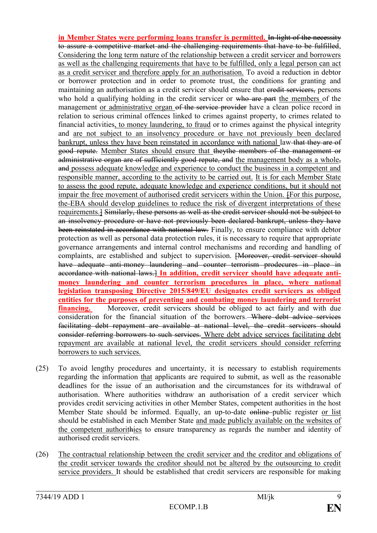**in Member States were performing loans transfer is permitted.** In light of the necessity to assure a competitive market and the challenging requirements that have to be fulfilled, Considering the long term nature of the relationship between a credit servicer and borrowers as well as the challenging requirements that have to be fulfilled, only a legal person can act as a credit servicer and therefore apply for an authorisation. To avoid a reduction in debtor or borrower protection and in order to promote trust, the conditions for granting and maintaining an authorisation as a credit servicer should ensure that eredit servicers, persons who hold a qualifying holding in the credit servicer or who are part the members of the management or administrative organ of the service provider have a clean police record in relation to serious criminal offences linked to crimes against property, to crimes related to financial activities, to money laundering, to fraud or to crimes against the physical integrity and are not subject to an insolvency procedure or have not previously been declared bankrupt, unless they have been reinstated in accordance with national law-that they are of good repute. Member States should ensure that theythe members of the management or administrative organ are of sufficiently good repute, and the management body as a whole, and possess adequate knowledge and experience to conduct the business in a competent and responsible manner, according to the activity to be carried out. It is for each Member State to assess the good repute, adequate knowledge and experience conditions, but it should not impair the free movement of authorised credit servicers within the Union. [For this purpose, the EBA should develop guidelines to reduce the risk of divergent interpretations of these requirements.] Similarly, these persons as well as the credit servicer should not be subject to an insolvency procedure or have not previously been declared bankrupt, unless they have been reinstated in accordance with national law. Finally, to ensure compliance with debtor protection as well as personal data protection rules, it is necessary to require that appropriate governance arrangements and internal control mechanisms and recording and handling of complaints, are established and subject to supervision. <del>[Moreover, credit servicer should</del> have adequate anti-money laundering and counter terrorism prodecures in place in accordance with national laws.<sup>1</sup> In addition, credit servicer should have adequate anti**money laundering and counter terrorism procedures in place, where national legislation transposing Directive 2015/849/EU designates credit servicers as obliged entities for the purposes of preventing and combating money laundering and terrorist financing.** Moreover, credit servicers should be obliged to act fairly and with due consideration for the financial situation of the borrowers. Where debt advice services facilitating debt repayment are available at national level, the credit servicers should consider referring borrowers to such services. Where debt advice services facilitating debt repayment are available at national level, the credit servicers should consider referring borrowers to such services.

- (25) To avoid lengthy procedures and uncertainty, it is necessary to establish requirements regarding the information that applicants are required to submit, as well as the reasonable deadlines for the issue of an authorisation and the circumstances for its withdrawal of authorisation. Where authorities withdraw an authorisation of a credit servicer which provides credit servicing activities in other Member States, competent authorities in the host Member State should be informed. Equally, an up-to-date online public register or list should be established in each Member State and made publicly available on the websites of the competent authorithies to ensure transparency as regards the number and identity of authorised credit servicers.
- (26) The contractual relationship between the credit servicer and the creditor and obligations of the credit servicer towards the creditor should not be altered by the outsourcing to credit service providers. It should be established that credit servicers are responsible for making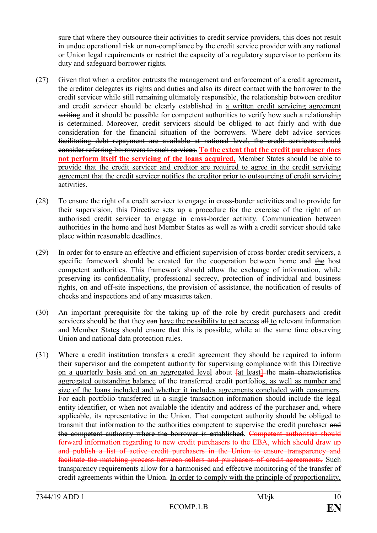sure that where they outsource their activities to credit service providers, this does not result in undue operational risk or non-compliance by the credit service provider with any national or Union legal requirements or restrict the capacity of a regulatory supervisor to perform its duty and safeguard borrower rights.

- (27) Given that when a creditor entrusts the management and enforcement of a credit agreement**,** the creditor delegates its rights and duties and also its direct contact with the borrower to the credit servicer while still remaining ultimately responsible, the relationship between creditor and credit servicer should be clearly established in a written credit servicing agreement writing and it should be possible for competent authorities to verify how such a relationship is determined. Moreover, credit servicers should be obliged to act fairly and with due consideration for the financial situation of the borrowers. Where debt advice services facilitating debt repayment are available at national level, the credit servicers should consider referring borrowers to such services. **To the extent that the credit purchaser does not perform itself the servicing of the loans acquired,** Member States should be able to provide that the credit servicer and creditor are required to agree in the credit servicing agreement that the credit servicer notifies the creditor prior to outsourcing of credit servicing activities.
- (28) To ensure the right of a credit servicer to engage in cross-border activities and to provide for their supervision, this Directive sets up a procedure for the exercise of the right of an authorised credit servicer to engage in cross-border activity. Communication between authorities in the home and host Member States as well as with a credit servicer should take place within reasonable deadlines.
- (29) In order for to ensure an effective and efficient supervision of cross-border credit servicers, a specific framework should be created for the cooperation between home and the host competent authorities. This framework should allow the exchange of information, while preserving its confidentiality, professional secrecy, protection of individual and business rights, on and off-site inspections, the provision of assistance, the notification of results of checks and inspections and of any measures taken.
- (30) An important prerequisite for the taking up of the role by credit purchasers and credit servicers should be that they ean have the possibility to get access all to relevant information and Member States should ensure that this is possible, while at the same time observing Union and national data protection rules.
- (31) Where a credit institution transfers a credit agreement they should be required to inform their supervisor and the competent authority for supervising compliance with this Directive on a quarterly basis and on an aggregated level about fat least-the main characteristics aggregated outstanding balance of the transferred credit portfolios, as well as number and size of the loans included and whether it includes agreements concluded with consumers. For each portfolio transferred in a single transaction information should include the legal entity identifier, or when not available the identity and address of the purchaser and, where applicable, its representative in the Union. That competent authority should be obliged to transmit that information to the authorities competent to supervise the credit purchaser and the competent authority where the borrower is established. Competent authorities should forward information regarding to new credit purchasers to the EBA, which should draw up and publish a list of active credit purchasers in the Union to ensure transparency and facilitate the matching process between sellers and purchasers of credit agreements. Such transparency requirements allow for a harmonised and effective monitoring of the transfer of credit agreements within the Union. In order to comply with the principle of proportionality,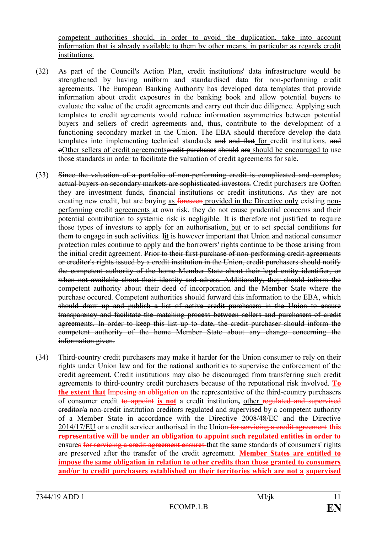competent authorities should, in order to avoid the duplication, take into account information that is already available to them by other means, in particular as regards credit institutions.

- (32) As part of the Council's Action Plan, credit institutions' data infrastructure would be strengthened by having uniform and standardised data for non-performing credit agreements. The European Banking Authority has developed data templates that provide information about credit exposures in the banking book and allow potential buyers to evaluate the value of the credit agreements and carry out their due diligence. Applying such templates to credit agreements would reduce information asymmetries between potential buyers and sellers of credit agreements and, thus, contribute to the development of a functioning secondary market in the Union. The EBA should therefore develop the data templates into implementing technical standards and and that for credit institutions. and oOther sellers of credit agreementseredit purchaser should are should be encouraged to use those standards in order to facilitate the valuation of credit agreements for sale.
- (33) Since the valuation of a portfolio of non-performing credit is complicated and complex, actual buyers on secondary markets are sophisticated investors. Credit purchasers are Ooften they are investment funds, financial institutions or credit institutions. As they are not creating new credit, but are buying as foreseen provided in the Directive only existing nonperforming credit agreements at own risk, they do not cause prudential concerns and their potential contribution to systemic risk is negligible. It is therefore not justified to require those types of investors to apply for an authorisation, but or to set special conditions for them to engage in such activities. Iit is however important that Union and national consumer protection rules continue to apply and the borrowers' rights continue to be those arising from the initial credit agreement. Prior to their first purchase of non-performing credit agreements or creditor's rights issued by a credit institution in the Union, credit purchasers should notify the competent authority of the home Member State about their legal entity identifier, or when not available about their identity and adress. Additionally, they should inform the competent authority about their deed of incorporation and the Member State where the purchase occured. Competent authorities should forward this information to the EBA, which should draw up and publish a list of active credit purchasers in the Union to ensure transparency and facilitate the matching process between sellers and purchasers of credit agreements. In order to keep this list up to date, the credit purchaser should inform the competent authority of the home Member State about any change concerning the information given.
- (34) Third-country credit purchasers may make it harder for the Union consumer to rely on their rights under Union law and for the national authorities to supervise the enforcement of the credit agreement. Credit institutions may also be discouraged from transferring such credit agreements to third-country credit purchasers because of the reputational risk involved. **To the extent that Imposing an obligation on** the representative of the third-country purchasers of consumer credit to appoint **is not** a credit institution**,** other regulated and supervised ereditor/a non-credit institution creditors regulated and supervised by a competent authority of a Member State in accordance with the Directive 2008/48/EC and the Directive 2014/17/EU or a credit servicer authorised in the Union for servicing a credit agreement **this representative will be under an obligation to appoint such regulated entities in order to**  ensures for servicing a credit agreement ensures that the same standards of consumers' rights are preserved after the transfer of the credit agreement. **Member States are entitled to impose the same obligation in relation to other credits than those granted to consumers and/or to credit purchasers established on their territories which are not a supervised**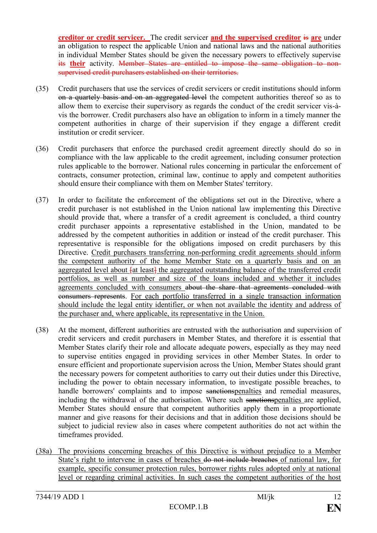**creditor or credit servicer.** The credit servicer **and the supervised creditor** is **are** under an obligation to respect the applicable Union and national laws and the national authorities in individual Member States should be given the necessary powers to effectively supervise its **their** activity. Member States are entitled to impose the same obligation to nonsupervised credit purchasers established on their territories.

- (35) Credit purchasers that use the services of credit servicers or credit institutions should inform on a quartely basis and on an aggregated level the competent authorities thereof so as to allow them to exercise their supervisory as regards the conduct of the credit servicer vis-àvis the borrower. Credit purchasers also have an obligation to inform in a timely manner the competent authorities in charge of their supervision if they engage a different credit institution or credit servicer.
- (36) Credit purchasers that enforce the purchased credit agreement directly should do so in compliance with the law applicable to the credit agreement, including consumer protection rules applicable to the borrower. National rules concerning in particular the enforcement of contracts, consumer protection, criminal law, continue to apply and competent authorities should ensure their compliance with them on Member States' territory.
- (37) In order to facilitate the enforcement of the obligations set out in the Directive, where a credit purchaser is not established in the Union national law implementing this Directive should provide that, where a transfer of a credit agreement is concluded, a third country credit purchaser appoints a representative established in the Union, mandated to be addressed by the competent authorities in addition or instead of the credit purchaser. This representative is responsible for the obligations imposed on credit purchasers by this Directive. Credit purchasers transferring non-performing credit agreements should inform the competent authority of the home Member State on a quarterly basis and on an aggregated level about  $\frac{1}{4}$  the aggregated outstanding balance of the transferred credit portfolios, as well as number and size of the loans included and whether it includes agreements concluded with consumers about the share that agreements concluded with consumers represents. For each portfolio transferred in a single transaction information should include the legal entity identifier, or when not available the identity and address of the purchaser and, where applicable, its representative in the Union.
- (38) At the moment, different authorities are entrusted with the authorisation and supervision of credit servicers and credit purchasers in Member States, and therefore it is essential that Member States clarify their role and allocate adequate powers, especially as they may need to supervise entities engaged in providing services in other Member States. In order to ensure efficient and proportionate supervision across the Union, Member States should grant the necessary powers for competent authorities to carry out their duties under this Directive, including the power to obtain necessary information, to investigate possible breaches, to handle borrowers' complaints and to impose sanctionspenalties and remedial measures, including the withdrawal of the authorisation. Where such sanctions penalties are applied, Member States should ensure that competent authorities apply them in a proportionate manner and give reasons for their decisions and that in addition those decisions should be subject to judicial review also in cases where competent authorities do not act within the timeframes provided.
- (38a) The provisions concerning breaches of this Directive is without prejudice to a Member State's right to intervene in cases of breaches do not include breaches of national law, for example, specific consumer protection rules, borrower rights rules adopted only at national level or regarding criminal activities. In such cases the competent authorities of the host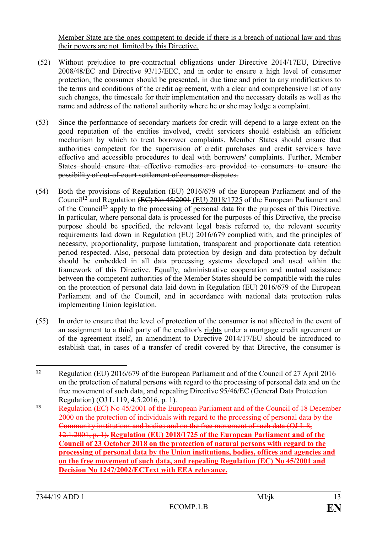Member State are the ones competent to decide if there is a breach of national law and thus their powers are not limited by this Directive.

- (52) Without prejudice to pre-contractual obligations under Directive 2014/17EU, Directive 2008/48/EC and Directive 93/13/EEC, and in order to ensure a high level of consumer protection, the consumer should be presented, in due time and prior to any modifications to the terms and conditions of the credit agreement, with a clear and comprehensive list of any such changes, the timescale for their implementation and the necessary details as well as the name and address of the national authority where he or she may lodge a complaint.
- (53) Since the performance of secondary markets for credit will depend to a large extent on the good reputation of the entities involved, credit servicers should establish an efficient mechanism by which to treat borrower complaints. Member States should ensure that authorities competent for the supervision of credit purchases and credit servicers have effective and accessible procedures to deal with borrowers' complaints. Further, Member States should ensure that effective remedies are provided to consumers to ensure the possibility of out-of-court settlement of consumer disputes.
- (54) Both the provisions of Regulation (EU) 2016/679 of the European Parliament and of the Council**<sup>12</sup>** and Regulation (EC) No 45/2001 (EU) 2018/1725 of the European Parliament and of the Council**<sup>13</sup>** apply to the processing of personal data for the purposes of this Directive. In particular, where personal data is processed for the purposes of this Directive, the precise purpose should be specified, the relevant legal basis referred to, the relevant security requirements laid down in Regulation (EU) 2016/679 complied with, and the principles of necessity, proportionality, purpose limitation, transparent and proportionate data retention period respected. Also, personal data protection by design and data protection by default should be embedded in all data processing systems developed and used within the framework of this Directive. Equally, administrative cooperation and mutual assistance between the competent authorities of the Member States should be compatible with the rules on the protection of personal data laid down in Regulation (EU) 2016/679 of the European Parliament and of the Council, and in accordance with national data protection rules implementing Union legislation.
- (55) In order to ensure that the level of protection of the consumer is not affected in the event of an assignment to a third party of the creditor's rights under a mortgage credit agreement or of the agreement itself, an amendment to Directive 2014/17/EU should be introduced to establish that, in cases of a transfer of credit covered by that Directive, the consumer is

 $12$ **<sup>12</sup>** Regulation (EU) 2016/679 of the European Parliament and of the Council of 27 April 2016 on the protection of natural persons with regard to the processing of personal data and on the free movement of such data, and repealing Directive 95/46/EC (General Data Protection Regulation) (OJ L 119, 4.5.2016, p. 1).

**<sup>13</sup>** Regulation (EC) No 45/2001 of the European Parliament and of the Council of 18 December 2000 on the protection of individuals with regard to the processing of personal data by the Community institutions and bodies and on the free movement of such data (OJ L 8, 12.1.2001, p. 1). **Regulation (EU) 2018/1725 of the European Parliament and of the Council of 23 October 2018 on the protection of natural persons with regard to the processing of personal data by the Union institutions, bodies, offices and agencies and on the free movement of such data, and repealing Regulation (EC) No 45/2001 and Decision No 1247/2002/ECText with EEA relevance.**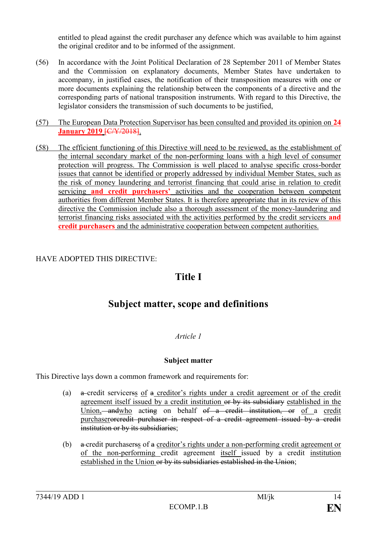entitled to plead against the credit purchaser any defence which was available to him against the original creditor and to be informed of the assignment.

- (56) In accordance with the Joint Political Declaration of 28 September 2011 of Member States and the Commission on explanatory documents, Member States have undertaken to accompany, in justified cases, the notification of their transposition measures with one or more documents explaining the relationship between the components of a directive and the corresponding parts of national transposition instruments. With regard to this Directive, the legislator considers the transmission of such documents to be justified,
- (57) The European Data Protection Supervisor has been consulted and provided its opinion on **24 January 2019 [C/Y/2018].**
- (58) The efficient functioning of this Directive will need to be reviewed, as the establishment of the internal secondary market of the non-performing loans with a high level of consumer protection will progress. The Commission is well placed to analyse specific cross-border issues that cannot be identified or properly addressed by individual Member States, such as the risk of money laundering and terrorist financing that could arise in relation to credit servicing **and credit purchasers'** activities and the cooperation between competent authorities from different Member States. It is therefore appropriate that in its review of this directive the Commission include also a thorough assessment of the money-laundering and terrorist financing risks associated with the activities performed by the credit servicers **and credit purchasers** and the administrative cooperation between competent authorities.

## HAVE ADOPTED THIS DIRECTIVE:

## **Title I**

## **Subject matter, scope and definitions**

## *Article 1*

#### **Subject matter**

This Directive lays down a common framework and requirements for:

- (a) a credit servicerss of a creditor's rights under a credit agreement or of the credit agreement itself issued by a credit institution or by its subsidiary established in the Union, and who acting on behalf of a credit institution, or of a credit purchaserorcredit purchaser in respect of a credit agreement issued by a credit institution or by its subsidiaries;
- (b) a credit purchaserss of a creditor's rights under a non-performing credit agreement or of the non-performing credit agreement itself issued by a credit institution established in the Union or by its subsidiaries established in the Union;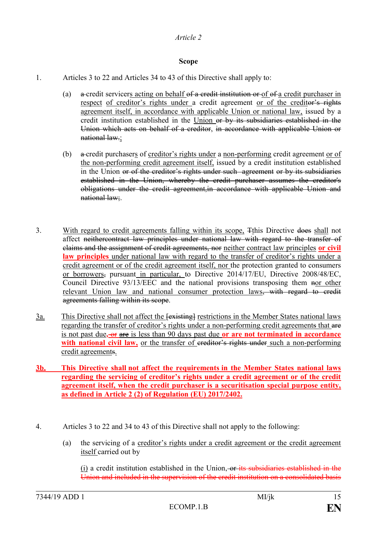## **Scope**

- 1. Articles 3 to 22 and Articles 34 to 43 of this Directive shall apply to:
	- (a) a credit servicers acting on behalf of a credit institution or of of a credit purchaser in respect of creditor's rights under a credit agreement or of the creditor's rights agreement itself, in accordance with applicable Union or national law, issued by a credit institution established in the Union or by its subsidiaries established in the Union which acts on behalf of a creditor, in accordance with applicable Union or national law.;
	- (b) a credit purchasers of creditor's rights under a non-performing credit agreement or of the non-performing credit agreement itself, issued by a credit institution established in the Union or of the creditor's rights under such agreement or by its subsidiaries established in the Union, whereby the credit purchaser assumes the creditor's obligations under the credit agreement,in accordance with applicable Union and national law;.
- 3. With regard to credit agreements falling within its scope, Tthis Directive does shall not affect neithercontract law principles under national law with regard to the transfer of claims and the assignment of credit agreements, nor neither contract law principles **or civil law principles** under national law with regard to the transfer of creditor's rights under a credit agreement or of the credit agreement itself, nor the protection granted to consumers or borrowers, pursuant in particular, to Directive 2014/17/EU, Directive 2008/48/EC, Council Directive 93/13/EEC and the national provisions transposing them nor other relevant Union law and national consumer protection laws<del>, with regard to credit</del> agreements falling within its scope.
- $\frac{3a}{2}$  This Directive shall not affect the  $\frac{1}{2}$  restrictions in the Member States national laws regarding the transfer of creditor's rights under a non-performing credit agreements that are is not past due**,** or are is less than 90 days past due **or are not terminated in accordance with national civil law,** or the transfer of ereditor's rights under such a non-performing credit agreements.

#### **3b. This Directive shall not affect the requirements in the Member States national laws regarding the servicing of creditor's rights under a credit agreement or of the credit agreement itself, when the credit purchaser is a securitisation special purpose entity, as defined in Article 2 (2) of Regulation (EU) 2017/2402.**

- 4. Articles 3 to 22 and 34 to 43 of this Directive shall not apply to the following:
	- (a) the servicing of a creditor's rights under a credit agreement or the credit agreement itself carried out by

(i) a credit institution established in the Union, or its subsidiaries established in the Union and included in the supervision of the credit institution on a consolidated basis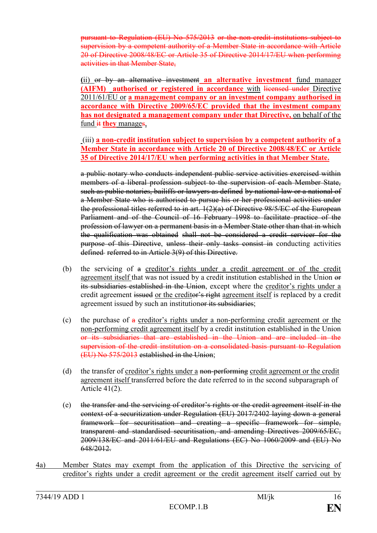pursuant to Regulation (EU) No 575/2013 or the non-credit institutions subject to supervision by a competent authority of a Member State in accordance with Article 20 of Directive 2008/48/EC or Article 35 of Directive 2014/17/EU when performing activities in that Member State,

**(**ii) or by an alternative investment **an alternative investment** fund manager **(AIFM)** authorised or registered in accordance with licensed under Directive 2011/61/EU or **a management company or an investment company authorised in accordance with Directive 2009/65/EC provided that the investment company has not designated a management company under that Directive,** on behalf of the fund it **they** manages,

(iii) **a non-credit institution subject to supervision by a competent authority of a Member State in accordance with Article 20 of Directive 2008/48/EC or Article 35 of Directive 2014/17/EU when performing activities in that Member State.**

a public notary who conducts independent public service activities exercised within members of a liberal profession subject to the supervision of each Member State, such as public notaries, bailiffs or lawyers as defined by national law or a national of a Member State who is authorised to pursue his or her professional activities under the professional titles referred to in art. 1(2)(a) of Directive 98/5/EC of the European Parliament and of the Council of 16 February 1998 to facilitate practice of the profession of lawyer on a permanent basis in a Member State other than that in which the qualification was obtained shall not be considered a credit servicer for the purpose of this Directive, unless their only tasks consist in conducting activities defined referred to in Article 3(9) of this Directive.

- (b) the servicing of a creditor's rights under a credit agreement or of the credit agreement itself that was not issued by a credit institution established in the Union or its subsidiaries established in the Union, except where the creditor's rights under a credit agreement issued or the creditor's right agreement itself is replaced by a credit agreement issued by such an institutionor its subsidiaries;
- (c) the purchase of  $\alpha$  creditor's rights under a non-performing credit agreement or the non-performing credit agreement itself by a credit institution established in the Union or its subsidiaries that are established in the Union and are included in the supervision of the credit institution on a consolidated basis pursuant to Regulation (EU) No 575/2013 established in the Union;
- (d) the transfer of creditor's rights under a non-performing credit agreement or the credit agreement itself transferred before the date referred to in the second subparagraph of Article 41(2).
- (e) the transfer and the servicing of creditor's rights or the credit agreement itself in the context of a securitization under Regulation (EU) 2017/2402 laying down a general framework for securitisation and creating a specific framework for simple, transparent and standardised securitisation, and amending Directives 2009/65/EC, 2009/138/EC and 2011/61/EU and Regulations (EC) No 1060/2009 and (EU) No 648/2012.
- 4a) Member States may exempt from the application of this Directive the servicing of creditor's rights under a credit agreement or the credit agreement itself carried out by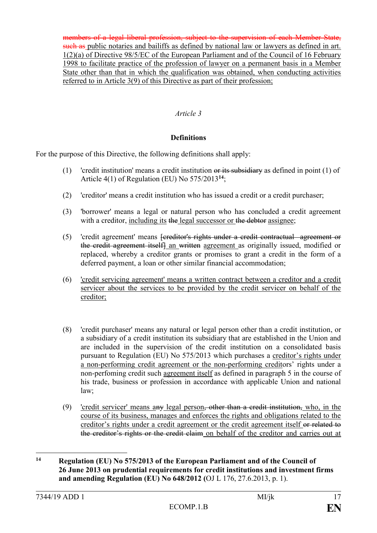members of a legal liberal profession, subject to the supervision of each Member State, such as public notaries and bailiffs as defined by national law or lawyers as defined in art. 1(2)(a) of Directive 98/5/EC of the European Parliament and of the Council of 16 February 1998 to facilitate practice of the profession of lawyer on a permanent basis in a Member State other than that in which the qualification was obtained, when conducting activities referred to in Article 3(9) of this Directive as part of their profession;

## *Article 3*

#### **Definitions**

For the purpose of this Directive, the following definitions shall apply:

- (1) 'credit institution' means a credit institution or its subsidiary as defined in point (1) of Article 4(1) of Regulation (EU) No 575/2013**<sup>14</sup>**;
- (2) 'creditor' means a credit institution who has issued a credit or a credit purchaser;
- (3) 'borrower' means a legal or natural person who has concluded a credit agreement with a creditor, including its the legal successor or the debtor assignee;
- (5) 'credit agreement' means [creditor's rights under a credit contractual agreement or the credit agreement itself] an written agreement as originally issued, modified or replaced, whereby a creditor grants or promises to grant a credit in the form of a deferred payment, a loan or other similar financial accommodation;
- (6) 'credit servicing agreement' means a written contract between a creditor and a credit servicer about the services to be provided by the credit servicer on behalf of the creditor;
- (8) 'credit purchaser' means any natural or legal person other than a credit institution, or a subsidiary of a credit institution its subsidiary that are established in the Union and are included in the supervision of the credit institution on a consolidated basis pursuant to Regulation (EU) No 575/2013 which purchases a creditor's rights under a non-performing credit agreement or the non-performing creditors' rights under a non-perfoming credit such agreement itself as defined in paragraph 5 in the course of his trade, business or profession in accordance with applicable Union and national law;
- (9) 'credit servicer' means any legal person, other than a credit institution, who, in the course of its business, manages and enforces the rights and obligations related to the creditor's rights under a credit agreement or the credit agreement itself or related to the creditor's rights or the credit claim on behalf of the creditor and carries out at

<u>.</u>

**<sup>14</sup> Regulation (EU) No 575/2013 of the European Parliament and of the Council of 26 June 2013 on prudential requirements for credit institutions and investment firms and amending Regulation (EU) No 648/2012 (**OJ L 176, 27.6.2013, p. 1).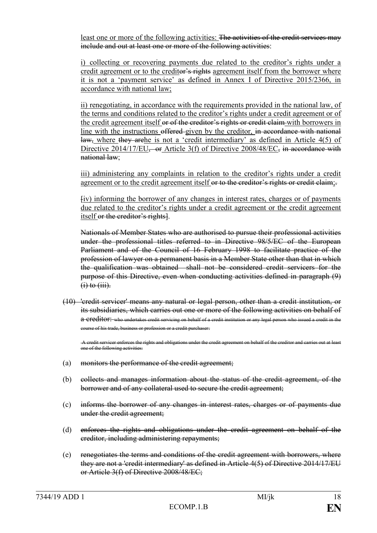least one or more of the following activities: The activities of the credit services may include and out at least one or more of the following activities:

i) collecting or recovering payments due related to the creditor's rights under a credit agreement or to the creditor's rights agreement itself from the borrower where it is not a 'payment service' as defined in Annex I of Directive 2015/2366, in accordance with national law;

ii) renegotiating, in accordance with the requirements provided in the national law, of the terms and conditions related to the creditor's rights under a credit agreement or of the credit agreement itself or of the creditor's rights or credit claim with borrowers in line with the instructions offered given by the creditor, in accordance with national law, where they arehe is not a 'credit intermediary' as defined in Article 4(5) of Directive 2014/17/EU, or Article 3(f) of Directive 2008/48/EC, in accordance with national law;

iii) administering any complaints in relation to the creditor's rights under a credit agreement or to the credit agreement itself or to the creditor's rights or credit claim;

[iv) informing the borrower of any changes in interest rates, charges or of payments due related to the creditor's rights under a credit agreement or the credit agreement itself or the creditor's rights].

Nationals of Member States who are authorised to pursue their professional activities under the professional titles referred to in Directive 98/5/EC of the European Parliament and of the Council of 16 February 1998 to facilitate practice of the profession of lawyer on a permanent basis in a Member State other than that in which the qualification was obtained shall not be considered credit servicers for the purpose of this Directive, even when conducting activities defined in paragraph (9)  $(i)$  to  $(iii)$ .

(10) 'credit servicer' means any natural or legal person, other than a credit institution, or its subsidiaries, which carries out one or more of the following activities on behalf of a creditor: who undertakes credit servicing on behalf of a credit institution or any legal person who issued a credit in the course of his trade, business or profession or a credit purchaser.

A credit servicer enforces the rights and obligations under the credit agreement on behalf of the creditor and carries out at least one of the following activities:

- (a) monitors the performance of the credit agreement;
- (b) collects and manages information about the status of the credit agreement, of the borrower and of any collateral used to secure the credit agreement;
- (c) informs the borrower of any changes in interest rates, charges or of payments due under the credit agreement;
- (d) enforces the rights and obligations under the credit agreement on behalf of the creditor, including administering repayments;
- (e) renegotiates the terms and conditions of the credit agreement with borrowers, where they are not a 'credit intermediary' as defined in Article 4(5) of Directive 2014/17/EU or Article 3(f) of Directive 2008/48/EC;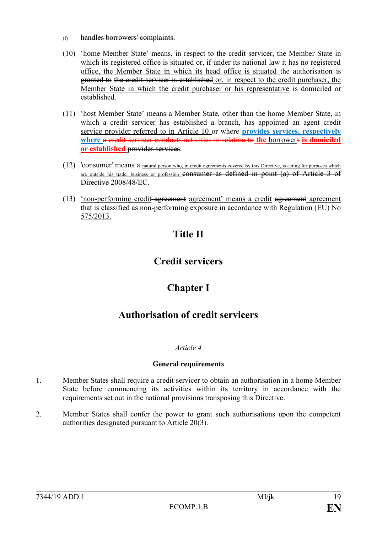- (f) handles borrowers' complaints.
- (10) 'home Member State' means, in respect to the credit servicer, the Member State in which its registered office is situated or, if under its national law it has no registered office, the Member State in which its head office is situated the authorisation is granted to the credit servicer is established or, in respect to the credit purchaser, the Member State in which the credit purchaser or his representative is domiciled or established.
- (11) 'host Member State' means a Member State, other than the home Member State, in which a credit servicer has established a branch, has appointed an agent credit service provider referred to in Article 10 or where **provides services, respectively where** a credit servicer conducts activities in relation to **the** borrowers **is domiciled or established** provides services.
- (12) 'consumer' means a natural person who, in credit agreements covered by this Directive, is acting for purposes which are outside his trade, business or profession consumer as defined in point (a) of Article 3 of Directive 2008/48/EC.
- (13) 'non-performing credit agreement agreement' means a credit agreement agreement that is classified as non-performing exposure in accordance with Regulation (EU) No 575/2013.

# **Title II**

## **Credit servicers**

# **Chapter I**

## **Authorisation of credit servicers**

## *Article 4*

## **General requirements**

- 1. Member States shall require a credit servicer to obtain an authorisation in a home Member State before commencing its activities within its territory in accordance with the requirements set out in the national provisions transposing this Directive.
- 2. Member States shall confer the power to grant such authorisations upon the competent authorities designated pursuant to Article 20(3).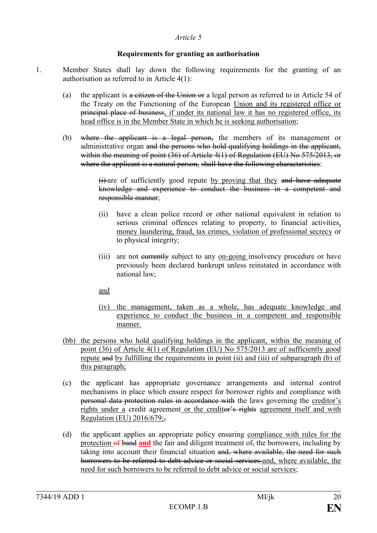#### **Requirements for granting an authorisation**

- 1. Member States shall lay down the following requirements for the granting of an authorisation as referred to in Article 4(1):
	- (a) the applicant is a citizen of the Union or a legal person as referred to in Article 54 of the Treaty on the Functioning of the European Union and its registered office or principal place of business, if under its national law it has no registered office, its head office is in the Member State in which he is seeking authorisation;
	- (b) where the applicant is a legal person, the members of its management or administrative organ and the persons who hold qualifying holdings in the applicant, within the meaning of point (36) of Article 4(1) of Regulation (EU) No 575/2013, or where the applicant is a natural person, shall have the following characteristics:

(i) are of sufficiently good repute by proving that they and have adequate knowledge and experience to conduct the business in a competent and responsible manner;

- (ii) have a clean police record or other national equivalent in relation to serious criminal offences relating to property, to financial activities, money laundering, fraud, tax crimes, violation of professional secrecy or to physical integrity;
- (iii) are not eurrently subject to any on-going insolvency procedure or have previously been declared bankrupt unless reinstated in accordance with national law;

and

- (iv) the management, taken as a whole, has adequate knowledge and experience to conduct the business in a competent and responsible manner.
- (bb) the persons who hold qualifying holdings in the applicant, within the meaning of point (36) of Article 4(1) of Regulation (EU) No 575/2013 are of sufficiently good repute and by fulfilling the requirements in point (ii) and (iii) of subparagraph (b) of this paragraph;
- (c) the applicant has appropriate governance arrangements and internal control mechanisms in place which ensure respect for borrower rights and compliance with personal data protection rules in accordance with the laws governing the creditor's rights under a credit agreement or the creditor's rights agreement itself and with Regulation (EU)  $2016/679$ ;
- (d) the applicant applies an appropriate policy ensuring compliance with rules for the protection of band and the fair and diligent treatment of, the borrowers, including by taking into account their financial situation and, where available, the need for such borrowers to be referred to debt advice or social services and, where available, the need for such borrowers to be referred to debt advice or social services;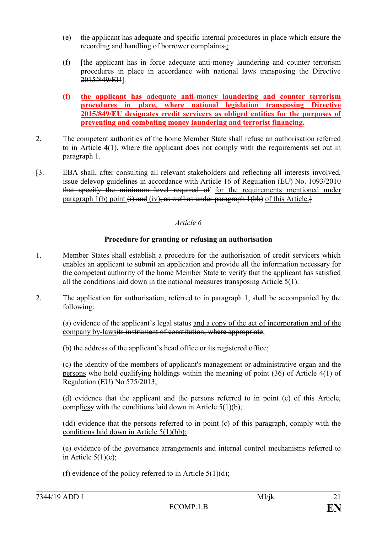- (e) the applicant has adequate and specific internal procedures in place which ensure the recording and handling of borrower complaints.;
- (f) [the applicant has in force adequate anti-money laundering and counter terrorism procedures in place in accordance with national laws transposing the Directive 2015/849/EU].
- **(f) the applicant has adequate anti-money laundering and counter terrorism procedures in place, where national legislation transposing Directive 2015/849/EU designates credit servicers as obliged entities for the purposes of preventing and combating money laundering and terrorist financing.**
- 2. The competent authorities of the home Member State shall refuse an authorisation referred to in Article 4(1), where the applicant does not comply with the requirements set out in paragraph 1.
- [3. EBA shall, after consulting all relevant stakeholders and reflecting all interests involved, issue delevop guidelines in accordance with Article 16 of Regulation (EU) No. 1093/2010 that specify the minimum level required of for the requirements mentioned under paragraph 1(b) point  $\overrightarrow{H}$  and  $\overrightarrow{H}$  (iv), as well as under paragraph 1(bb) of this Article.

## **Procedure for granting or refusing an authorisation**

- 1. Member States shall establish a procedure for the authorisation of credit servicers which enables an applicant to submit an application and provide all the information necessary for the competent authority of the home Member State to verify that the applicant has satisfied all the conditions laid down in the national measures transposing Article 5(1).
- 2. The application for authorisation, referred to in paragraph 1, shall be accompanied by the following:

(a) evidence of the applicant's legal status and a copy of the act of incorporation and of the company by-lawsits instrument of constitution, where appropriate;

(b) the address of the applicant's head office or its registered office;

(c) the identity of the members of applicant's management or administrative organ and the persons who hold qualifying holdings within the meaning of point (36) of Article 4(1) of Regulation (EU) No 575/2013;

(d) evidence that the applicant and the persons referred to in point (c) of this Article, compliesy with the conditions laid down in Article 5(1)(b)*;*

(dd) evidence that the persons referred to in point (c) of this paragraph, comply with the conditions laid down in Article 5(1)(bb);

(e) evidence of the governance arrangements and internal control mechanisms referred to in Article  $5(1)(c)$ ;

(f) evidence of the policy referred to in Article  $5(1)(d)$ ;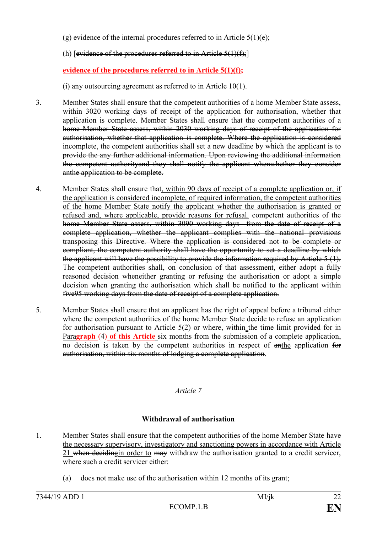(g) evidence of the internal procedures referred to in Article  $5(1)(e)$ ;

(h)  $[evidence of the procedures referred to in Article 5(1)(f):]$ 

**evidence of the procedures referred to in Article 5(1)(f);**

(i) any outsourcing agreement as referred to in Article 10(1).

- 3. Member States shall ensure that the competent authorities of a home Member State assess, within 3020 working days of receipt of the application for authorisation, whether that application is complete. Member States shall ensure that the competent authorities of a home Member State assess, within 2030 working days of receipt of the application for authorisation, whether that application is complete. Where the application is considered incomplete, the competent authorities shall set a new deadline by which the applicant is to provide the any further additional information. Upon reviewing the additional information the competent authorityand they shall notify the applicant whenwhether they consider anthe application to be complete.
- 4. Member States shall ensure that, within 90 days of receipt of a complete application or, if the application is considered incomplete, of required information, the competent authorities of the home Member State notify the applicant whether the authorisation is granted or refused and, where applicable, provide reasons for refusal. competent authorities of the home Member State assess, within 3090 working days from the date of receipt of a complete application, whether the applicant complies with the national provisions transposing this Directive. Where the application is considered not to be complete or compliant, the competent authority shall have the opportunity to set a deadline by which the applicant will have the possibility to provide the information required by Article 5 (1). The competent authorities shall, on conclusion of that assessment, either adopt a fully reasoned decision wheneither granting or refusing the authorisation or adopt a simple decision when granting the authorisation which shall be notified to the applicant within five95 working days from the date of receipt of a complete application.
- 5. Member States shall ensure that an applicant has the right of appeal before a tribunal either where the competent authorities of the home Member State decide to refuse an application for authorisation pursuant to Article 5(2) or where, within the time limit provided for in Para**graph** (4) **of this Article** six months from the submission of a complete application, no decision is taken by the competent authorities in respect of anthe application for authorisation, within six months of lodging a complete application.

*Article 7*

## **Withdrawal of authorisation**

- 1. Member States shall ensure that the competent authorities of the home Member State have the necessary supervisory, investigatory and sanctioning powers in accordance with Article 21 when deciding in order to may withdraw the authorisation granted to a credit servicer, where such a credit servicer either:
	- (a) does not make use of the authorisation within 12 months of its grant;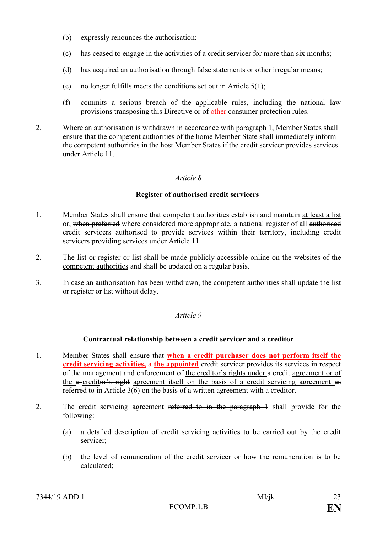- (b) expressly renounces the authorisation;
- (c) has ceased to engage in the activities of a credit servicer for more than six months;
- (d) has acquired an authorisation through false statements or other irregular means;
- (e) no longer fulfills meets the conditions set out in Article  $5(1)$ ;
- (f) commits a serious breach of the applicable rules, including the national law provisions transposing this Directive or of other consumer protection rules.
- 2. Where an authorisation is withdrawn in accordance with paragraph 1, Member States shall ensure that the competent authorities of the home Member State shall immediately inform the competent authorities in the host Member States if the credit servicer provides services under Article 11.

#### **Register of authorised credit servicers**

- 1. Member States shall ensure that competent authorities establish and maintain at least a list or, when preferred where considered more appropriate, a national register of all authorised credit servicers authorised to provide services within their territory, including credit servicers providing services under Article 11.
- 2. The list or register or list shall be made publicly accessible online on the websites of the competent authorities and shall be updated on a regular basis.
- 3. In case an authorisation has been withdrawn, the competent authorities shall update the list or register or list without delay.

#### *Article 9*

#### **Contractual relationship between a credit servicer and a creditor**

- 1. Member States shall ensure that **when a credit purchaser does not perform itself the credit servicing activities,** a **the appointed** credit servicer provides its services in respect of the management and enforcement of the creditor's rights under a credit agreement or of the a creditor's right agreement itself on the basis of a credit servicing agreement as referred to in Article 3(6) on the basis of a written agreement with a creditor.
- 2. The credit servicing agreement referred to in the paragraph 1 shall provide for the following:
	- (a) a detailed description of credit servicing activities to be carried out by the credit servicer;
	- (b) the level of remuneration of the credit servicer or how the remuneration is to be calculated;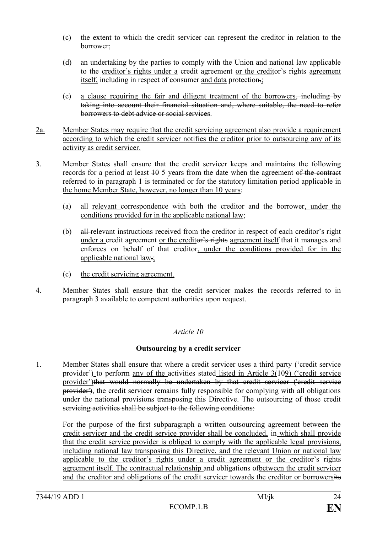- (c) the extent to which the credit servicer can represent the creditor in relation to the borrower;
- (d) an undertaking by the parties to comply with the Union and national law applicable to the creditor's rights under a credit agreement or the creditor's rights agreement itself, including in respect of consumer and data protection.;
- (e) a clause requiring the fair and diligent treatment of the borrowers, including by taking into account their financial situation and, where suitable, the need to refer borrowers to debt advice or social services.
- 2a. Member States may require that the credit servicing agreement also provide a requirement according to which the credit servicer notifies the creditor prior to outsourcing any of its activity as credit servicer.
- 3. Member States shall ensure that the credit servicer keeps and maintains the following records for a period at least  $\frac{10}{9}$  s years from the date when the agreement of the contract referred to in paragraph 1 is terminated or for the statutory limitation period applicable in the home Member State, however, no longer than 10 years:
	- (a) all relevant correspondence with both the creditor and the borrower, under the conditions provided for in the applicable national law;
	- (b) all relevant instructions received from the creditor in respect of each creditor's right under a credit agreement or the creditor's rights agreement itself that it manages and enforces on behalf of that creditor, under the conditions provided for in the applicable national law.;
	- (c) the credit servicing agreement.
- 4. Member States shall ensure that the credit servicer makes the records referred to in paragraph 3 available to competent authorities upon request.

## **Outsourcing by a credit servicer**

1. Member States shall ensure that where a credit servicer uses a third party ("credit service")  $provider'$  to perform any of the activities stated listed in Article  $3(109)$  ('credit service provider')that would normally be undertaken by that credit servicer ('credit service provider'), the credit servicer remains fully responsible for complying with all obligations under the national provisions transposing this Directive. The outsourcing of those credit servicing activities shall be subject to the following conditions:

For the purpose of the first subparagraph a written outsourcing agreement between the credit servicer and the credit service provider shall be concluded, in which shall provide that the credit service provider is obliged to comply with the applicable legal provisions, including national law transposing this Directive, and the relevant Union or national law applicable to the creditor's rights under a credit agreement or the creditor's rights agreement itself. The contractual relationship and obligations ofbetween the credit servicer and the creditor and obligations of the credit servicer towards the creditor or borrowersits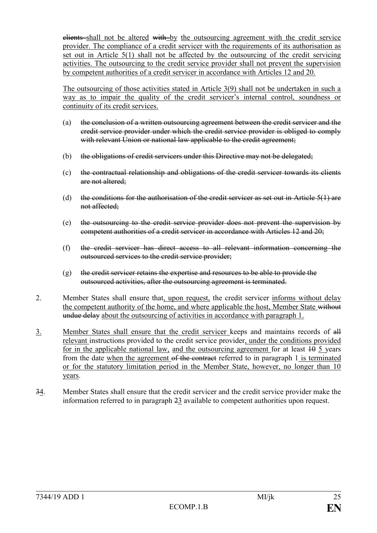elients shall not be altered with by the outsourcing agreement with the credit service provider. The compliance of a credit servicer with the requirements of its authorisation as set out in Article 5(1) shall not be affected by the outsourcing of the credit servicing activities. The outsourcing to the credit service provider shall not prevent the supervision by competent authorities of a credit servicer in accordance with Articles 12 and 20.

The outsourcing of those activities stated in Article 3(9) shall not be undertaken in such a way as to impair the quality of the credit servicer's internal control, soundness or continuity of its credit services.

- (a) the conclusion of a written outsourcing agreement between the credit servicer and the credit service provider under which the credit service provider is obliged to comply with relevant Union or national law applicable to the credit agreement;
- (b) the obligations of credit servicers under this Directive may not be delegated;
- (c) the contractual relationship and obligations of the credit servicer towards its clients are not altered:
- (d) the conditions for the authorisation of the credit servicer as set out in Article  $5(1)$  are not affected;
- (e) the outsourcing to the credit service provider does not prevent the supervision by competent authorities of a credit servicer in accordance with Articles 12 and 20;
- (f) the credit servicer has direct access to all relevant information concerning the outsourced services to the credit service provider;
- (g) the credit servicer retains the expertise and resources to be able to provide the outsourced activities, after the outsourcing agreement is terminated.
- 2. Member States shall ensure that, upon request, the credit servicer informs without delay the competent authority of the home, and where applicable the host, Member State without undue delay about the outsourcing of activities in accordance with paragraph 1.
- 3. Member States shall ensure that the credit servicer keeps and maintains records of all relevant instructions provided to the credit service provider, under the conditions provided for in the applicable national law, and the outsourcing agreement for at least  $10-5$  years from the date when the agreement of the contract referred to in paragraph 1 is terminated or for the statutory limitation period in the Member State, however, no longer than 10 years.
- 34. Member States shall ensure that the credit servicer and the credit service provider make the information referred to in paragraph 23 available to competent authorities upon request.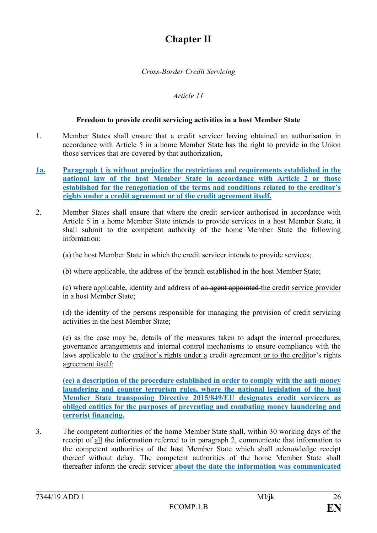## **Chapter II**

## *Cross-Border Credit Servicing*

## *Article 11*

#### **Freedom to provide credit servicing activities in a host Member State**

- 1. Member States shall ensure that a credit servicer having obtained an authorisation in accordance with Article 5 in a home Member State has the right to provide in the Union those services that are covered by that authorization,
- **1a. Paragraph 1 is without prejudice the restrictions and requirements established in the national law of the host Member State in accordance with Article 2 or those established for the renegotiation of the terms and conditions related to the creditor's rights under a credit agreement or of the credit agreement itself.**
- 2. Member States shall ensure that where the credit servicer authorised in accordance with Article 5 in a home Member State intends to provide services in a host Member State, it shall submit to the competent authority of the home Member State the following information:

(a) the host Member State in which the credit servicer intends to provide services;

(b) where applicable, the address of the branch established in the host Member State;

(c) where applicable, identity and address of an agent appointed the credit service provider in a host Member State;

(d) the identity of the persons responsible for managing the provision of credit servicing activities in the host Member State;

(e) as the case may be, details of the measures taken to adapt the internal procedures, governance arrangements and internal control mechanisms to ensure compliance with the laws applicable to the creditor's rights under a credit agreement or to the creditor's rights agreement itself;

**(ee) a description of the procedure established in order to comply with the anti-money laundering and counter terrorism rules, where the national legislation of the host Member State transposing Directive 2015/849/EU designates credit servicers as obliged entities for the purposes of preventing and combating money laundering and terrorist financing.**

3. The competent authorities of the home Member State shall, within 30 working days of the receipt of all the information referred to in paragraph 2, communicate that information to the competent authorities of the host Member State which shall acknowledge receipt thereof without delay. The competent authorities of the home Member State shall thereafter inform the credit servicer **about the date the information was communicated**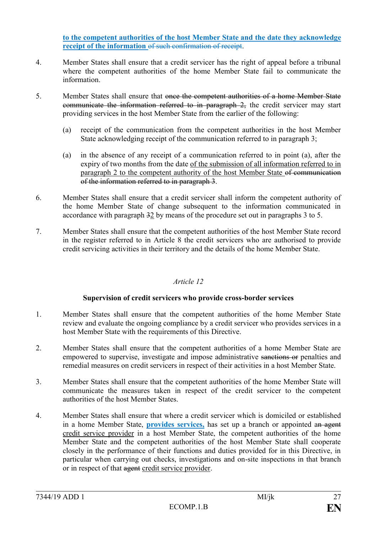**to the competent authorities of the host Member State and the date they acknowledge receipt of the information** of such confirmation of receipt.

- 4. Member States shall ensure that a credit servicer has the right of appeal before a tribunal where the competent authorities of the home Member State fail to communicate the information.
- 5. Member States shall ensure that once the competent authorities of a home Member State communicate the information referred to in paragraph 2, the credit servicer may start providing services in the host Member State from the earlier of the following:
	- (a) receipt of the communication from the competent authorities in the host Member State acknowledging receipt of the communication referred to in paragraph 3;
	- (a) in the absence of any receipt of a communication referred to in point (a), after the expiry of two months from the date of the submission of all information referred to in paragraph 2 to the competent authority of the host Member State of communication of the information referred to in paragraph 3.
- 6. Member States shall ensure that a credit servicer shall inform the competent authority of the home Member State of change subsequent to the information communicated in accordance with paragraph 32 by means of the procedure set out in paragraphs 3 to 5.
- 7. Member States shall ensure that the competent authorities of the host Member State record in the register referred to in Article 8 the credit servicers who are authorised to provide credit servicing activities in their territory and the details of the home Member State.

## *Article 12*

## **Supervision of credit servicers who provide cross-border services**

- 1. Member States shall ensure that the competent authorities of the home Member State review and evaluate the ongoing compliance by a credit servicer who provides services in a host Member State with the requirements of this Directive.
- 2. Member States shall ensure that the competent authorities of a home Member State are empowered to supervise, investigate and impose administrative sanctions or penalties and remedial measures on credit servicers in respect of their activities in a host Member State.
- 3. Member States shall ensure that the competent authorities of the home Member State will communicate the measures taken in respect of the credit servicer to the competent authorities of the host Member States.
- 4. Member States shall ensure that where a credit servicer which is domiciled or established in a home Member State, **provides services,** has set up a branch or appointed an agent credit service provider in a host Member State, the competent authorities of the home Member State and the competent authorities of the host Member State shall cooperate closely in the performance of their functions and duties provided for in this Directive, in particular when carrying out checks, investigations and on-site inspections in that branch or in respect of that agent credit service provider.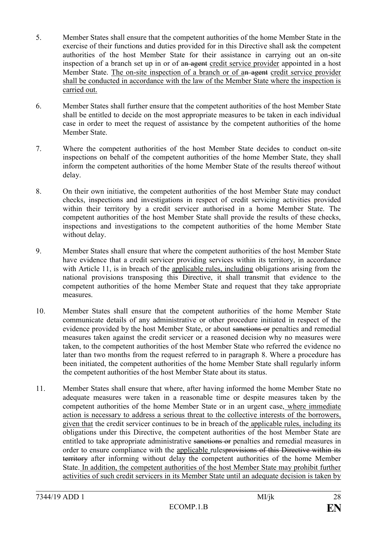- 5. Member States shall ensure that the competent authorities of the home Member State in the exercise of their functions and duties provided for in this Directive shall ask the competent authorities of the host Member State for their assistance in carrying out an on-site inspection of a branch set up in or of an agent credit service provider appointed in a host Member State. The on-site inspection of a branch or of an agent credit service provider shall be conducted in accordance with the law of the Member State where the inspection is carried out.
- 6. Member States shall further ensure that the competent authorities of the host Member State shall be entitled to decide on the most appropriate measures to be taken in each individual case in order to meet the request of assistance by the competent authorities of the home Member State.
- 7. Where the competent authorities of the host Member State decides to conduct on-site inspections on behalf of the competent authorities of the home Member State, they shall inform the competent authorities of the home Member State of the results thereof without delay.
- 8. On their own initiative, the competent authorities of the host Member State may conduct checks, inspections and investigations in respect of credit servicing activities provided within their territory by a credit servicer authorised in a home Member State. The competent authorities of the host Member State shall provide the results of these checks, inspections and investigations to the competent authorities of the home Member State without delay.
- 9. Member States shall ensure that where the competent authorities of the host Member State have evidence that a credit servicer providing services within its territory, in accordance with Article 11, is in breach of the applicable rules, including obligations arising from the national provisions transposing this Directive, it shall transmit that evidence to the competent authorities of the home Member State and request that they take appropriate measures.
- 10. Member States shall ensure that the competent authorities of the home Member State communicate details of any administrative or other procedure initiated in respect of the evidence provided by the host Member State, or about sanctions or penalties and remedial measures taken against the credit servicer or a reasoned decision why no measures were taken, to the competent authorities of the host Member State who referred the evidence no later than two months from the request referred to in paragraph 8. Where a procedure has been initiated, the competent authorities of the home Member State shall regularly inform the competent authorities of the host Member State about its status.
- 11. Member States shall ensure that where, after having informed the home Member State no adequate measures were taken in a reasonable time or despite measures taken by the competent authorities of the home Member State or in an urgent case, where immediate action is necessary to address a serious threat to the collective interests of the borrowers, given that the credit servicer continues to be in breach of the applicable rules, including its obligations under this Directive, the competent authorities of the host Member State are entitled to take appropriate administrative sanctions or penalties and remedial measures in order to ensure compliance with the applicable rulesprovisions of this Directive within its territory after informing without delay the competent authorities of the home Member State. In addition, the competent authorities of the host Member State may prohibit further activities of such credit servicers in its Member State until an adequate decision is taken by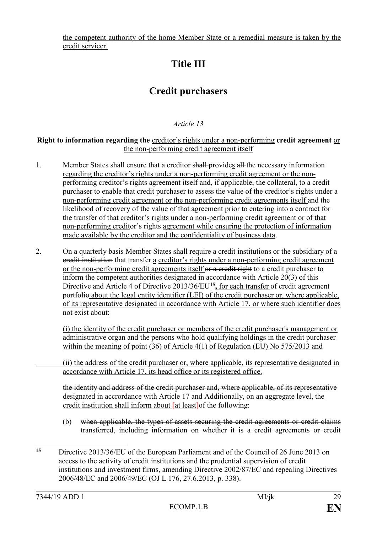the competent authority of the home Member State or a remedial measure is taken by the credit servicer.

# **Title III**

## **Credit purchasers**

## *Article 13*

### **Right to information regarding the** creditor's rights under a non-performing **credit agreement** or the non-performing credit agreement itself

- 1. Member States shall ensure that a creditor shall provides all the necessary information regarding the creditor's rights under a non-performing credit agreement or the nonperforming creditor's rights agreement itself and, if applicable, the collateral, to a credit purchaser to enable that credit purchaser to assess the value of the creditor's rights under a non-performing credit agreement or the non-performing credit agreements itself and the likelihood of recovery of the value of that agreement prior to entering into a contract for the transfer of that creditor's rights under a non-performing credit agreement or of that non-performing creditor's rights agreement while ensuring the protection of information made available by the creditor and the confidentiality of business data.
- 2. On a quarterly basis Member States shall require a-credit institutions or the subsidiary of a credit institution that transfer a creditor's rights under a non-performing credit agreement or the non-performing credit agreements itself or a credit right to a credit purchaser to inform the competent authorities designated in accordance with Article 20(3) of this Directive and Article 4 of Directive 2013/36/EU**<sup>15</sup> ,** for each transfer of credit agreement portfolio about the legal entity identifier (LEI) of the credit purchaser or, where applicable, of its representative designated in accordance with Article 17, or where such identifier does not exist about:

(i) the identity of the credit purchaser or members of the credit purchaser's management or administrative organ and the persons who hold qualifying holdings in the credit purchaser within the meaning of point (36) of Article 4(1) of Regulation (EU) No 575/2013 and

(ii) the address of the credit purchaser or, where applicable, its representative designated in accordance with Article 17, its head office or its registered office.

the identity and address of the credit purchaser and, where applicable, of its representative designated in accrordance with Article 17 and Additionally, on an aggregate level, the credit institution shall inform about  $\frac{f}{g}$  at least  $\frac{f}{g}$  the following:

- (b) when applicable, the types of assets securing the credit agreements or credit claims transferred, including information on whether it is a credit agreements or credit
- 1 **<sup>15</sup>** Directive 2013/36/EU of the European Parliament and of the Council of 26 June 2013 on access to the activity of credit institutions and the prudential supervision of credit institutions and investment firms, amending Directive 2002/87/EC and repealing Directives 2006/48/EC and 2006/49/EC (OJ L 176, 27.6.2013, p. 338).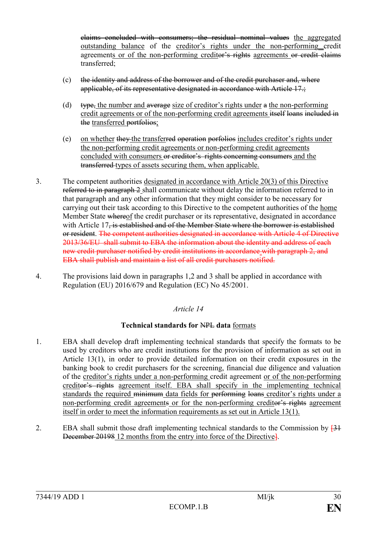claims concluded with consumers; the residual nominal values the aggregated outstanding balance of the creditor's rights under the non-performing credit agreements or of the non-performing creditor's rights agreements or credit claims transferred;

- (c) the identity and address of the borrower and of the credit purchaser and, where applicable, of its representative designated in accordance with Article 17.
- (d) type, the number and average size of creditor's rights under  $a$  the non-performing credit agreements or of the non-performing credit agreements itself loans included in the transferred portfolios;
- (e) on whether they the transferred operation porfolios includes creditor's rights under the non-performing credit agreements or non-performing credit agreements concluded with consumers or creditor's rights concerning consumers and the transferred types of assets securing them, when applicable.
- 3. The competent authorities designated in accordance with Article 20(3) of this Directive referred to in paragraph 2 shall communicate without delay the information referred to in that paragraph and any other information that they might consider to be necessary for carrying out their task according to this Directive to the competent authorities of the home Member State whereof the credit purchaser or its representative, designated in accordance with Article 17, is established and of the Member State where the borrower is established or resident. The competent authorities designated in accordance with Article 4 of Directive 2013/36/EU shall submit to EBA the information about the identity and address of each new credit purchaser notified by credit institutions in accordance with paragraph 2, and EBA shall publish and maintain a list of all credit purchasers notified.
- 4. The provisions laid down in paragraphs 1,2 and 3 shall be applied in accordance with Regulation (EU) 2016/679 and Regulation (EC) No 45/2001.

## *Article 14*

## **Technical standards for** NPL **data** formats

- 1. EBA shall develop draft implementing technical standards that specify the formats to be used by creditors who are credit institutions for the provision of information as set out in Article 13(1), in order to provide detailed information on their credit exposures in the banking book to credit purchasers for the screening, financial due diligence and valuation of the creditor's rights under a non-performing credit agreement or of the non-performing creditor's rights agreement itself. EBA shall specify in the implementing technical standards the required minimum data fields for performing loans creditor's rights under a non-performing credit agreements or for the non-performing creditor's rights agreement itself in order to meet the information requirements as set out in Article 13(1).
- 2. EBA shall submit those draft implementing technical standards to the Commission by  $[31]$ December 20198 12 months from the entry into force of the Directive].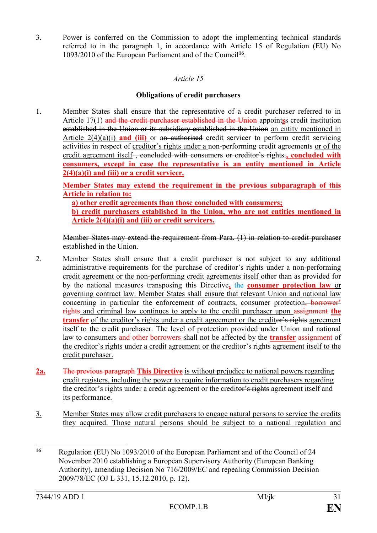3. Power is conferred on the Commission to adopt the implementing technical standards referred to in the paragraph 1, in accordance with Article 15 of Regulation (EU) No 1093/2010 of the European Parliament and of the Council**<sup>16</sup>** .

## *Article 15*

## **Obligations of credit purchasers**

1. Member States shall ensure that the representative of a credit purchaser referred to in Article 17(1) and the credit purchaser established in the Union appoint**s**s credit institution established in the Union or its subsidiary established in the Union an entity mentioned in Article 2(4)(a)(i) **and (iii)** or an authorised credit servicer to perform credit servicing activities in respect of creditor's rights under a non-performing credit agreements or of the credit agreement itself , concluded with consumers or creditor's rights.**, concluded with consumers, except in case the representative is an entity mentioned in Article 2(4)(a)(i) and (iii) or a credit servicer.**

**Member States may extend the requirement in the previous subparagraph of this Article in relation to:**

**a) other credit agreements than those concluded with consumers; b) credit purchasers established in the Union, who are not entities mentioned in Article 2(4)(a)(i) and (iii) or credit servicers.**

Member States may extend the requirement from Para. (1) in relation to credit purchaser established in the Union.

- 2. Member States shall ensure that a credit purchaser is not subject to any additional administrative requirements for the purchase of creditor's rights under a non-performing credit agreement or the non-performing credit agreements itself other than as provided for by the national measures transposing this Directive**,** the **consumer protection law** or governing contract law. Member States shall ensure that relevant Union and national law concerning in particular the enforcement of contracts, consumer protection, borrower' rights and criminal law continues to apply to the credit purchaser upon assignment the **transfer** of the creditor's rights under a credit agreement or the creditor's rights agreement itself to the credit purchaser. The level of protection provided under Union and national law to consumers and other borrowers shall not be affected by the **transfer** assignment of the creditor's rights under a credit agreement or the creditor's rights agreement itself to the credit purchaser.
- **2a.** The previous paragraph **This Directive** is without prejudice to national powers regarding credit registers, including the power to require information to credit purchasers regarding the creditor's rights under a credit agreement or the creditor's rights agreement itself and its performance.
- 3. Member States may allow credit purchasers to engage natural persons to service the credits they acquired. Those natural persons should be subject to a national regulation and

<sup>1</sup> **<sup>16</sup>** Regulation (EU) No 1093/2010 of the European Parliament and of the Council of 24 November 2010 establishing a European Supervisory Authority (European Banking Authority), amending Decision No 716/2009/EC and repealing Commission Decision 2009/78/EC (OJ L 331, 15.12.2010, p. 12).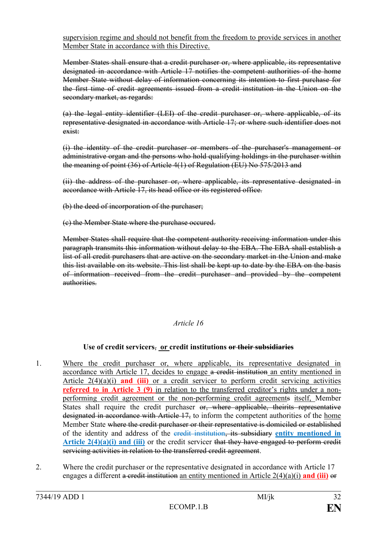supervision regime and should not benefit from the freedom to provide services in another Member State in accordance with this Directive.

Member States shall ensure that a credit purchaser or, where applicable, its representative designated in accordance with Article 17 notifies the competent authorities of the home Member State without delay of information concerning its intention to first purchase for the first time of credit agreements issued from a credit institution in the Union on the secondary market, as regards:

(a) the legal entity identifier (LEI) of the credit purchaser or, where applicable, of its representative designated in accordance with Article 17; or where such identifier does not exist:

(i) the identity of the credit purchaser or members of the purchaser's management or administrative organ and the persons who hold qualifying holdings in the purchaser within the meaning of point (36) of Article 4(1) of Regulation (EU) No 575/2013 and

(ii) the address of the purchaser or, where applicable, its representative designated in accordance with Article 17, its head office or its registered office.

(b) the deed of incorporation of the purchaser;

(c) the Member State where the purchase occured.

Member States shall require that the competent authority receiving information under this paragraph transmits this information without delay to the EBA. The EBA shall establish a list of all credit purchasers that are active on the secondary market in the Union and make this list available on its website. This list shall be kept up to date by the EBA on the basis of information received from the credit purchaser and provided by the competent authorities.

## *Article 16*

## **Use of credit servicers**, **or credit institutions or their subsidiaries**

- 1. Where the credit purchaser or, where applicable, its representative designated in accordance with Article 17, decides to engage a credit institution an entity mentioned in Article 2(4)(a)(i) **and (iii)** or a credit servicer to perform credit servicing activities **referred to in Article 3 (9)** in relation to the transferred creditor's rights under a nonperforming credit agreement or the non-performing credit agreements itself, Member States shall require the credit purchaser or, where applicable, theirits representative designated in accordance with Article 17, to inform the competent authorities of the home Member State where the credit purchaser or their representative is domiciled or established of the identity and address of the credit institution, its subsidiary **entity mentioned in Article 2(4)(a)(i) and (iii)** or the credit servicer that they have engaged to perform credit servicing activities in relation to the transferred credit agreement.
- 2. Where the credit purchaser or the representative designated in accordance with Article 17 engages a different a credit institution an entity mentioned in Article 2(4)(a)(i) **and (iii)** or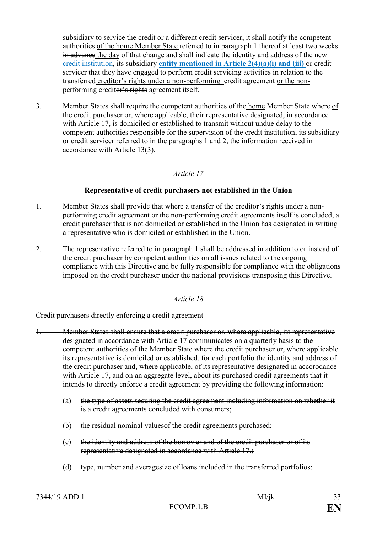subsidiary to service the credit or a different credit servicer, it shall notify the competent authorities of the home Member State referred to in paragraph 1 thereof at least two weeks in advance the day of that change and shall indicate the identity and address of the new credit institution, its subsidiary **entity mentioned in Article 2(4)(a)(i) and (iii)** or credit servicer that they have engaged to perform credit servicing activities in relation to the transferred creditor's rights under a non-performing credit agreement or the nonperforming creditor's rights agreement itself.

3. Member States shall require the competent authorities of the home Member State where of the credit purchaser or, where applicable, their representative designated, in accordance with Article 17, is domiciled or established to transmit without undue delay to the competent authorities responsible for the supervision of the credit institution, its subsidiary or credit servicer referred to in the paragraphs 1 and 2, the information received in accordance with Article 13(3).

## *Article 17*

## **Representative of credit purchasers not established in the Union**

- 1. Member States shall provide that where a transfer of the creditor's rights under a nonperforming credit agreement or the non-performing credit agreements itself is concluded, a credit purchaser that is not domiciled or established in the Union has designated in writing a representative who is domiciled or established in the Union.
- 2. The representative referred to in paragraph 1 shall be addressed in addition to or instead of the credit purchaser by competent authorities on all issues related to the ongoing compliance with this Directive and be fully responsible for compliance with the obligations imposed on the credit purchaser under the national provisions transposing this Directive.

## *Article 18*

Credit purchasers directly enforcing a credit agreement

- 1. Member States shall ensure that a credit purchaser or, where applicable, its representative designated in accordance with Article 17 communicates on a quarterly basis to the competent authorities of the Member State where the credit purchaser or, where applicable its representative is domiciled or established, for each portfolio the identity and address of the credit purchaser and, where applicable, of its representative designated in accorodance with Article 17, and on an aggregate level, about its purchased credit agreements that it intends to directly enforce a credit agreement by providing the following information:
	- (a) the type of assets securing the credit agreement including information on whether it is a credit agreements concluded with consumers;
	- (b) the residual nominal values of the credit agreements purchased;
	- (c) the identity and address of the borrower and of the credit purchaser or of its representative designated in accordance with Article 17.;
	- (d) type, number and averagesize of loans included in the transferred portfolios;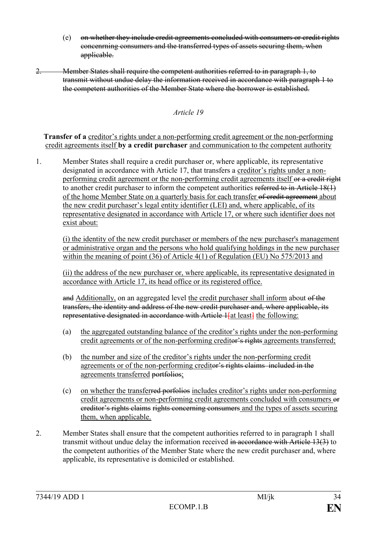- (e) on whether they include credit agreements concluded with consumers or credit rights concenrning consumers and the transferred types of assets securing them, when applicable.
- 2. Member States shall require the competent authorities referred to in paragraph 1, to transmit without undue delay the information received in accordance with paragraph 1 to the competent authorities of the Member State where the borrower is established.

**Transfer of a** creditor's rights under a non-performing credit agreement or the non-performing credit agreements itself **by a credit purchaser** and communication to the competent authority

1. Member States shall require a credit purchaser or, where applicable, its representative designated in accordance with Article 17, that transfers a creditor's rights under a nonperforming credit agreement or the non-performing credit agreements itself or a credit right to another credit purchaser to inform the competent authorities referred to in Article 18(1) of the home Member State on a quarterly basis for each transfer of credit agreement about the new credit purchaser's legal entity identifier (LEI) and, where applicable, of its representative designated in accordance with Article 17, or where such identifier does not exist about:

(i) the identity of the new credit purchaser or members of the new purchaser's management or administrative organ and the persons who hold qualifying holdings in the new purchaser within the meaning of point (36) of Article 4(1) of Regulation (EU) No 575/2013 and

(ii) the address of the new purchaser or, where applicable, its representative designated in accordance with Article 17, its head office or its registered office.

and Additionally, on an aggregated level the credit purchaser shall inform about of the transfers, the identity and address of the new credit purchaser and, where applicable, its representative designated in accordance with Article Hat least<sup>1</sup> the following:

- (a) the aggregated outstanding balance of the creditor's rights under the non-performing credit agreements or of the non-performing creditor's rights agreements transferred;
- (b) the number and size of the creditor's rights under the non-performing credit agreements or of the non-performing creditor's rights claims included in the agreements transferred portfolios;
- (c) on whether the transferred porfolios includes creditor's rights under non-performing credit agreements or non-performing credit agreements concluded with consumers or creditor's rights claims rights concerning consumers and the types of assets securing them, when applicable.
- 2. Member States shall ensure that the competent authorities referred to in paragraph 1 shall transmit without undue delay the information received in accordance with Article 13(3) to the competent authorities of the Member State where the new credit purchaser and, where applicable, its representative is domiciled or established.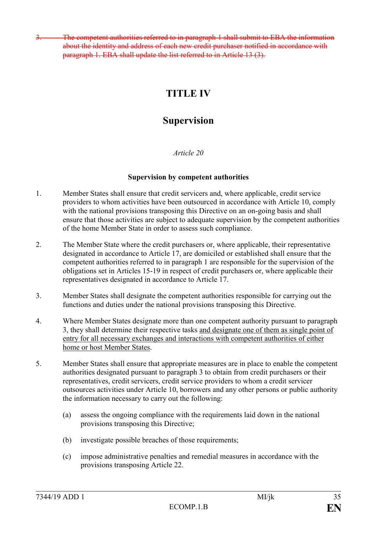The competent authorities referred to in paragraph 1 shall submit to EBA the information about the identity and address of each new credit purchaser notified in accordance with paragraph 1. EBA shall update the list referred to in Article 13 (3).

## **TITLE IV**

## **Supervision**

## *Article 20*

## **Supervision by competent authorities**

- 1. Member States shall ensure that credit servicers and, where applicable, credit service providers to whom activities have been outsourced in accordance with Article 10, comply with the national provisions transposing this Directive on an on-going basis and shall ensure that those activities are subject to adequate supervision by the competent authorities of the home Member State in order to assess such compliance.
- 2. The Member State where the credit purchasers or, where applicable, their representative designated in accordance to Article 17, are domiciled or established shall ensure that the competent authorities referred to in paragraph 1 are responsible for the supervision of the obligations set in Articles 15-19 in respect of credit purchasers or, where applicable their representatives designated in accordance to Article 17.
- 3. Member States shall designate the competent authorities responsible for carrying out the functions and duties under the national provisions transposing this Directive.
- 4. Where Member States designate more than one competent authority pursuant to paragraph 3, they shall determine their respective tasks and designate one of them as single point of entry for all necessary exchanges and interactions with competent authorities of either home or host Member States.
- 5. Member States shall ensure that appropriate measures are in place to enable the competent authorities designated pursuant to paragraph 3 to obtain from credit purchasers or their representatives, credit servicers, credit service providers to whom a credit servicer outsources activities under Article 10, borrowers and any other persons or public authority the information necessary to carry out the following:
	- (a) assess the ongoing compliance with the requirements laid down in the national provisions transposing this Directive;
	- (b) investigate possible breaches of those requirements;
	- (c) impose administrative penalties and remedial measures in accordance with the provisions transposing Article 22.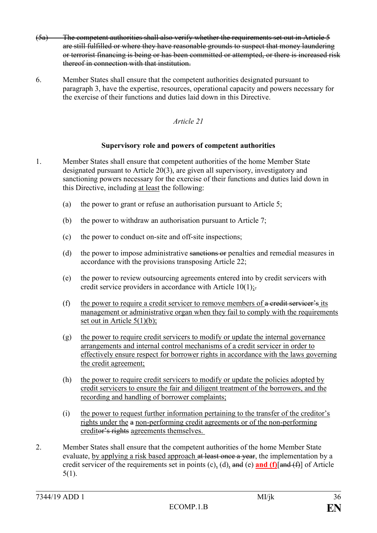- (5a) The competent authorities shall also verify whether the requirements set out in Article 5 are still fulfilled or where they have reasonable grounds to suspect that money laundering or terrorist financing is being or has been committed or attempted, or there is increased risk thereof in connection with that institution.
- 6. Member States shall ensure that the competent authorities designated pursuant to paragraph 3, have the expertise, resources, operational capacity and powers necessary for the exercise of their functions and duties laid down in this Directive.

## **Supervisory role and powers of competent authorities**

- 1. Member States shall ensure that competent authorities of the home Member State designated pursuant to Article 20(3), are given all supervisory, investigatory and sanctioning powers necessary for the exercise of their functions and duties laid down in this Directive, including at least the following:
	- (a) the power to grant or refuse an authorisation pursuant to Article 5;
	- (b) the power to withdraw an authorisation pursuant to Article 7;
	- (c) the power to conduct on-site and off-site inspections;
	- (d) the power to impose administrative sanctions or penalties and remedial measures in accordance with the provisions transposing Article 22;
	- (e) the power to review outsourcing agreements entered into by credit servicers with credit service providers in accordance with Article  $10(1)$ ;
	- (f) the power to require a credit servicer to remove members of  $\alpha$  credit servicer's its management or administrative organ when they fail to comply with the requirements set out in Article 5(1)(b);
	- (g) the power to require credit servicers to modify or update the internal governance arrangements and internal control mechanisms of a credit servicer in order to effectively ensure respect for borrower rights in accordance with the laws governing the credit agreement;
	- (h) the power to require credit servicers to modify or update the policies adopted by credit servicers to ensure the fair and diligent treatment of the borrowers, and the recording and handling of borrower complaints;
	- (i) the power to request further information pertaining to the transfer of the creditor's rights under the a non-performing credit agreements or of the non-performing creditor's rights agreements themselves.
- 2. Member States shall ensure that the competent authorities of the home Member State evaluate, by applying a risk based approach at least once a year, the implementation by a credit servicer of the requirements set in points (c), (d), and (e) **and (f)**[and (f)] of Article 5(1).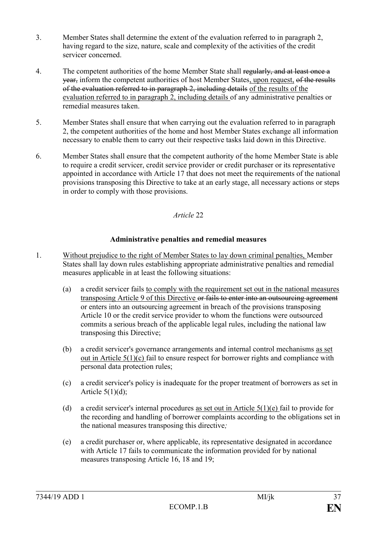- 3. Member States shall determine the extent of the evaluation referred to in paragraph 2, having regard to the size, nature, scale and complexity of the activities of the credit servicer concerned.
- 4. The competent authorities of the home Member State shall regularly, and at least once a year, inform the competent authorities of host Member States, upon request, of the results of the evaluation referred to in paragraph 2, including details of the results of the evaluation referred to in paragraph 2, including details of any administrative penalties or remedial measures taken.
- 5. Member States shall ensure that when carrying out the evaluation referred to in paragraph 2, the competent authorities of the home and host Member States exchange all information necessary to enable them to carry out their respective tasks laid down in this Directive.
- 6. Member States shall ensure that the competent authority of the home Member State is able to require a credit servicer, credit service provider or credit purchaser or its representative appointed in accordance with Article 17 that does not meet the requirements of the national provisions transposing this Directive to take at an early stage, all necessary actions or steps in order to comply with those provisions.

## **Administrative penalties and remedial measures**

- 1. Without prejudice to the right of Member States to lay down criminal penalties, Member States shall lay down rules establishing appropriate administrative penalties and remedial measures applicable in at least the following situations:
	- (a) a credit servicer fails to comply with the requirement set out in the national measures transposing Article 9 of this Directive or fails to enter into an outsourcing agreement or enters into an outsourcing agreement in breach of the provisions transposing Article 10 or the credit service provider to whom the functions were outsourced commits a serious breach of the applicable legal rules, including the national law transposing this Directive;
	- (b) a credit servicer's governance arrangements and internal control mechanisms as set out in Article 5(1)(c) fail to ensure respect for borrower rights and compliance with personal data protection rules;
	- (c) a credit servicer's policy is inadequate for the proper treatment of borrowers as set in Article  $5(1)(d)$ ;
	- (d) a credit servicer's internal procedures as set out in Article  $5(1)(e)$  fail to provide for the recording and handling of borrower complaints according to the obligations set in the national measures transposing this directive*;*
	- (e) a credit purchaser or, where applicable, its representative designated in accordance with Article 17 fails to communicate the information provided for by national measures transposing Article 16, 18 and 19;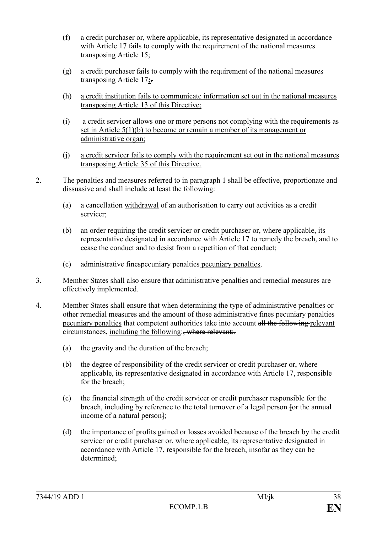- (f) a credit purchaser or, where applicable, its representative designated in accordance with Article 17 fails to comply with the requirement of the national measures transposing Article 15;
- (g) a credit purchaser fails to comply with the requirement of the national measures transposing Article 17**;**.
- (h) a credit institution fails to communicate information set out in the national measures transposing Article 13 of this Directive;
- (i) a credit servicer allows one or more persons not complying with the requirements as set in Article 5(1)(b) to become or remain a member of its management or administrative organ;
- (j) a credit servicer fails to comply with the requirement set out in the national measures transposing Article 35 of this Directive.
- 2. The penalties and measures referred to in paragraph 1 shall be effective, proportionate and dissuasive and shall include at least the following:
	- (a) a cancellation withdrawal of an authorisation to carry out activities as a credit servicer;
	- (b) an order requiring the credit servicer or credit purchaser or, where applicable, its representative designated in accordance with Article 17 to remedy the breach, and to cease the conduct and to desist from a repetition of that conduct;
	- (c) administrative finespecuniary penalties pecuniary penalties.
- 3. Member States shall also ensure that administrative penalties and remedial measures are effectively implemented.
- 4. Member States shall ensure that when determining the type of administrative penalties or other remedial measures and the amount of those administrative fines pecuniary penalties pecuniary penalties that competent authorities take into account all the following relevant circumstances, including the following: where relevant:
	- (a) the gravity and the duration of the breach;
	- (b) the degree of responsibility of the credit servicer or credit purchaser or, where applicable, its representative designated in accordance with Article 17, responsible for the breach;
	- (c) the financial strength of the credit servicer or credit purchaser responsible for the breach, including by reference to the total turnover of a legal person for the annual income of a natural person-
	- (d) the importance of profits gained or losses avoided because of the breach by the credit servicer or credit purchaser or, where applicable, its representative designated in accordance with Article 17, responsible for the breach, insofar as they can be determined;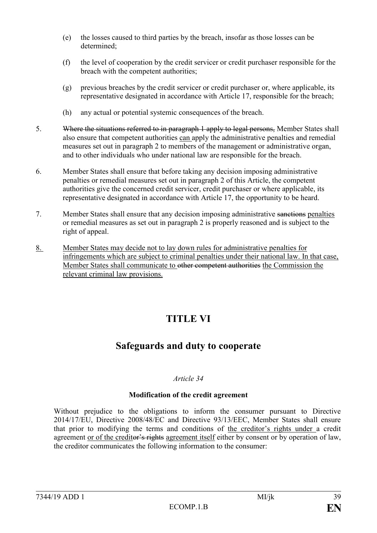- (e) the losses caused to third parties by the breach, insofar as those losses can be determined;
- (f) the level of cooperation by the credit servicer or credit purchaser responsible for the breach with the competent authorities;
- (g) previous breaches by the credit servicer or credit purchaser or, where applicable, its representative designated in accordance with Article 17, responsible for the breach;
- (h) any actual or potential systemic consequences of the breach.
- 5. Where the situations referred to in paragraph 1 apply to legal persons, Member States shall also ensure that competent authorities can apply the administrative penalties and remedial measures set out in paragraph 2 to members of the management or administrative organ, and to other individuals who under national law are responsible for the breach.
- 6. Member States shall ensure that before taking any decision imposing administrative penalties or remedial measures set out in paragraph 2 of this Article, the competent authorities give the concerned credit servicer, credit purchaser or where applicable, its representative designated in accordance with Article 17, the opportunity to be heard.
- 7. Member States shall ensure that any decision imposing administrative sanctions penalties or remedial measures as set out in paragraph 2 is properly reasoned and is subject to the right of appeal.
- 8. Member States may decide not to lay down rules for administrative penalties for infringements which are subject to criminal penalties under their national law. In that case, Member States shall communicate to other competent authorities the Commission the relevant criminal law provisions.

## **TITLE VI**

## **Safeguards and duty to cooperate**

## *Article 34*

## **Modification of the credit agreement**

Without prejudice to the obligations to inform the consumer pursuant to Directive 2014/17/EU, Directive 2008/48/EC and Directive 93/13/EEC, Member States shall ensure that prior to modifying the terms and conditions of the creditor's rights under a credit agreement or of the creditor's rights agreement itself either by consent or by operation of law, the creditor communicates the following information to the consumer: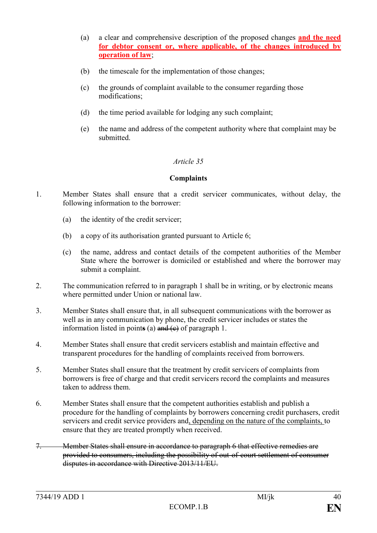- (a) a clear and comprehensive description of the proposed changes **and the need for debtor consent or, where applicable, of the changes introduced by operation of law**;
- (b) the timescale for the implementation of those changes;
- (c) the grounds of complaint available to the consumer regarding those modifications;
- (d) the time period available for lodging any such complaint;
- (e) the name and address of the competent authority where that complaint may be submitted.

#### **Complaints**

- 1. Member States shall ensure that a credit servicer communicates, without delay, the following information to the borrower:
	- (a) the identity of the credit servicer;
	- (b) a copy of its authorisation granted pursuant to Article 6;
	- (c) the name, address and contact details of the competent authorities of the Member State where the borrower is domiciled or established and where the borrower may submit a complaint.
- 2. The communication referred to in paragraph 1 shall be in writing, or by electronic means where permitted under Union or national law.
- 3. Member States shall ensure that, in all subsequent communications with the borrower as well as in any communication by phone, the credit servicer includes or states the information listed in point**s** (a) and (c) of paragraph 1.
- 4. Member States shall ensure that credit servicers establish and maintain effective and transparent procedures for the handling of complaints received from borrowers.
- 5. Member States shall ensure that the treatment by credit servicers of complaints from borrowers is free of charge and that credit servicers record the complaints and measures taken to address them.
- 6. Member States shall ensure that the competent authorities establish and publish a procedure for the handling of complaints by borrowers concerning credit purchasers, credit servicers and credit service providers and, depending on the nature of the complaints, to ensure that they are treated promptly when received.
- 7. Member States shall ensure in accordance to paragraph 6 that effective remedies are provided to consumers, including the possibility of out-of-court settlement of consumer disputes in accordance with Directive 2013/11/EU.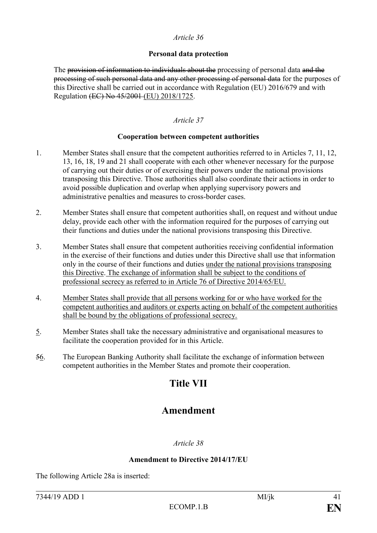#### **Personal data protection**

The provision of information to individuals about the processing of personal data and the processing of such personal data and any other processing of personal data for the purposes of this Directive shall be carried out in accordance with Regulation (EU) 2016/679 and with Regulation <del>(EC) No 45/2001</del> (EU) 2018/1725.

### *Article 37*

#### **Cooperation between competent authorities**

- 1. Member States shall ensure that the competent authorities referred to in Articles 7, 11, 12, 13, 16, 18, 19 and 21 shall cooperate with each other whenever necessary for the purpose of carrying out their duties or of exercising their powers under the national provisions transposing this Directive. Those authorities shall also coordinate their actions in order to avoid possible duplication and overlap when applying supervisory powers and administrative penalties and measures to cross-border cases.
- 2. Member States shall ensure that competent authorities shall, on request and without undue delay, provide each other with the information required for the purposes of carrying out their functions and duties under the national provisions transposing this Directive.
- 3. Member States shall ensure that competent authorities receiving confidential information in the exercise of their functions and duties under this Directive shall use that information only in the course of their functions and duties under the national provisions transposing this Directive. The exchange of information shall be subject to the conditions of professional secrecy as referred to in Article 76 of Directive 2014/65/EU.
- 4. Member States shall provide that all persons working for or who have worked for the competent authorities and auditors or experts acting on behalf of the competent authorities shall be bound by the obligations of professional secrecy.
- 5. Member States shall take the necessary administrative and organisational measures to facilitate the cooperation provided for in this Article.
- 56. The European Banking Authority shall facilitate the exchange of information between competent authorities in the Member States and promote their cooperation.

## **Title VII**

## **Amendment**

#### *Article 38*

#### **Amendment to Directive 2014/17/EU**

The following Article 28a is inserted: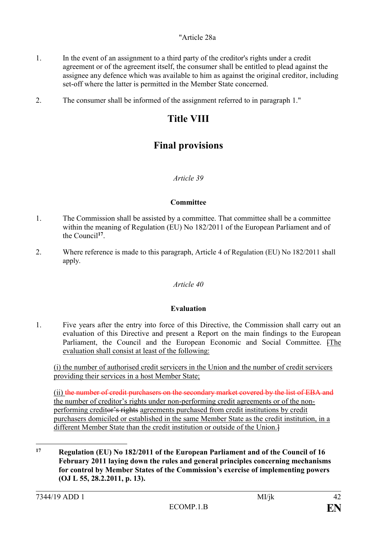- 1. In the event of an assignment to a third party of the creditor's rights under a credit agreement or of the agreement itself, the consumer shall be entitled to plead against the assignee any defence which was available to him as against the original creditor, including set-off where the latter is permitted in the Member State concerned.
- 2. The consumer shall be informed of the assignment referred to in paragraph 1."

## **Title VIII**

## **Final provisions**

## *Article 39*

## **Committee**

- 1. The Commission shall be assisted by a committee. That committee shall be a committee within the meaning of Regulation (EU) No 182/2011 of the European Parliament and of the Council**<sup>17</sup>** .
- 2. Where reference is made to this paragraph, Article 4 of Regulation (EU) No 182/2011 shall apply.

## *Article 40*

## **Evaluation**

1. Five years after the entry into force of this Directive, the Commission shall carry out an evaluation of this Directive and present a Report on the main findings to the European Parliament, the Council and the European Economic and Social Committee. [The evaluation shall consist at least of the following:

(i) the number of authorised credit servicers in the Union and the number of credit servicers providing their services in a host Member State;

(ii) the number of credit purchasers on the secondary market covered by the list of EBA and the number of creditor's rights under non-performing credit agreements or of the nonperforming creditor's rights agreements purchased from credit institutions by credit purchasers domiciled or established in the same Member State as the credit institution, in a different Member State than the credit institution or outside of the Union.]

1

**<sup>17</sup> Regulation (EU) No 182/2011 of the European Parliament and of the Council of 16 February 2011 laying down the rules and general principles concerning mechanisms for control by Member States of the Commission's exercise of implementing powers (OJ L 55, 28.2.2011, p. 13).**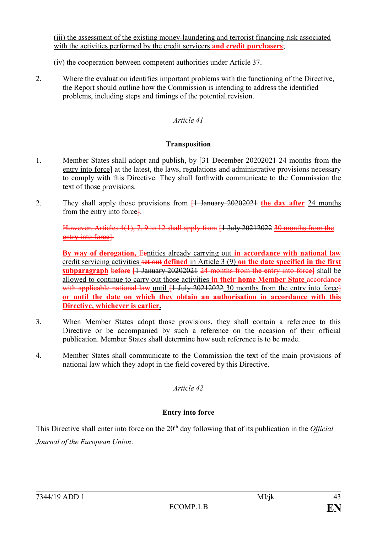(iii) the assessment of the existing money-laundering and terrorist financing risk associated with the activities performed by the credit servicers **and credit purchasers**;

(iv) the cooperation between competent authorities under Article 37.

2. Where the evaluation identifies important problems with the functioning of the Directive, the Report should outline how the Commission is intending to address the identified problems, including steps and timings of the potential revision.

### *Article 41*

#### **Transposition**

- 1. Member States shall adopt and publish, by [31 December 20202021 24 months from the entry into force] at the latest, the laws, regulations and administrative provisions necessary to comply with this Directive. They shall forthwith communicate to the Commission the text of those provisions.
- 2. They shall apply those provisions from [1 January 20202021 **the day after** 24 months from the entry into force].

However, Articles 4(1), 7, 9 to 12 shall apply from [1 July 20212022 30 months from the entry into force].

**By way of derogation,** E**e**ntities already carrying out **in accordance with national law** credit servicing activities set out **defined** in Article 3 (9) **on the date specified in the first subparagraph** before [1 January 20202021 24 months from the entry into force] shall be allowed to continue to carry out those activities *in their home Member State accordance* with applicable national law until  $[1 \text{ July } 20212022$  30 months from the entry into force **or until the date on which they obtain an authorisation in accordance with this Directive, whichever is earlier.**

- 3. When Member States adopt those provisions, they shall contain a reference to this Directive or be accompanied by such a reference on the occasion of their official publication. Member States shall determine how such reference is to be made.
- 4. Member States shall communicate to the Commission the text of the main provisions of national law which they adopt in the field covered by this Directive.

## *Article 42*

## **Entry into force**

This Directive shall enter into force on the 20<sup>th</sup> day following that of its publication in the *Official Journal of the European Union*.